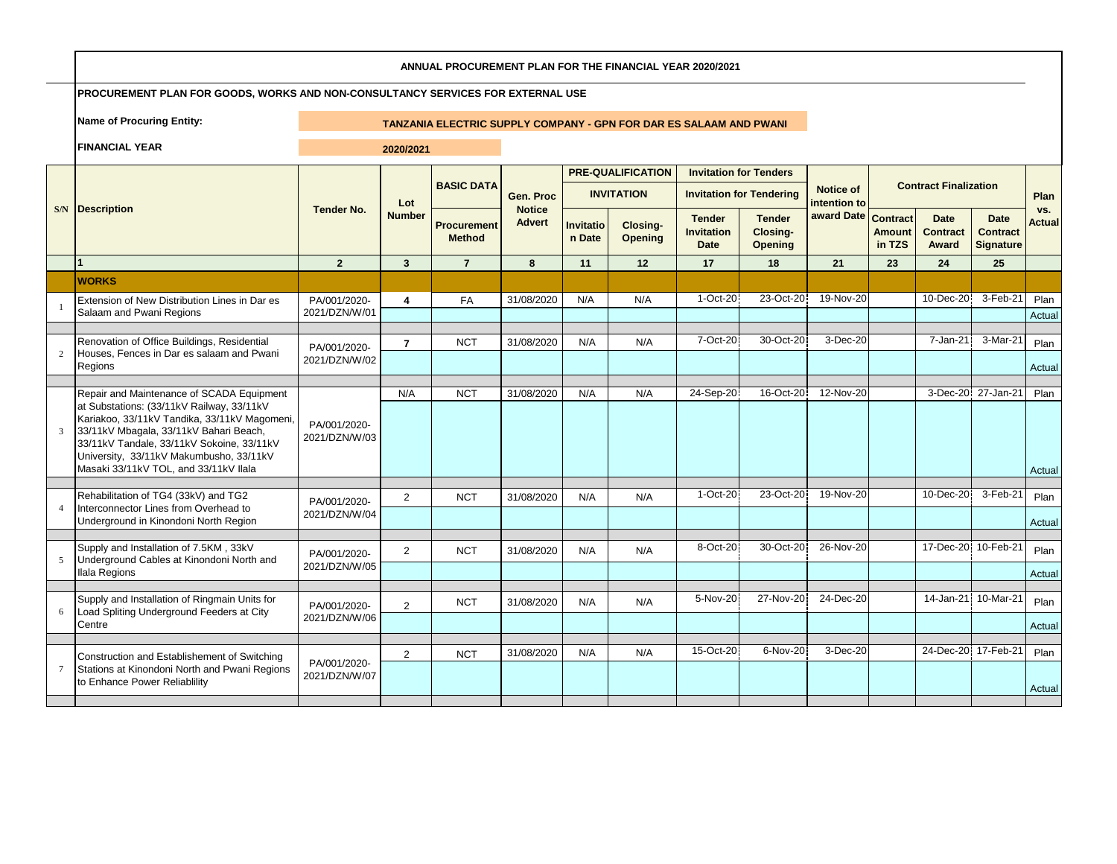|                 | ANNUAL PROCUREMENT PLAN FOR THE FINANCIAL YEAR 2020/2021                                                                                                                                                                                                             |                               |                         |                                                                           |                                |                            |                            |                                                   |                                             |                           |                         |                                         |                                             |                      |
|-----------------|----------------------------------------------------------------------------------------------------------------------------------------------------------------------------------------------------------------------------------------------------------------------|-------------------------------|-------------------------|---------------------------------------------------------------------------|--------------------------------|----------------------------|----------------------------|---------------------------------------------------|---------------------------------------------|---------------------------|-------------------------|-----------------------------------------|---------------------------------------------|----------------------|
|                 | PROCUREMENT PLAN FOR GOODS, WORKS AND NON-CONSULTANCY SERVICES FOR EXTERNAL USE                                                                                                                                                                                      |                               |                         |                                                                           |                                |                            |                            |                                                   |                                             |                           |                         |                                         |                                             |                      |
|                 | <b>Name of Procuring Entity:</b>                                                                                                                                                                                                                                     |                               |                         | <b>TANZANIA ELECTRIC SUPPLY COMPANY - GPN FOR DAR ES SALAAM AND PWANI</b> |                                |                            |                            |                                                   |                                             |                           |                         |                                         |                                             |                      |
|                 | <b>FINANCIAL YEAR</b>                                                                                                                                                                                                                                                |                               | 2020/2021               |                                                                           |                                |                            |                            |                                                   |                                             |                           |                         |                                         |                                             |                      |
|                 |                                                                                                                                                                                                                                                                      |                               |                         |                                                                           |                                |                            | <b>PRE-QUALIFICATION</b>   | <b>Invitation for Tenders</b>                     |                                             |                           |                         |                                         |                                             |                      |
|                 |                                                                                                                                                                                                                                                                      |                               | Lot                     | <b>BASIC DATA</b>                                                         | Gen. Proc                      |                            | <b>INVITATION</b>          |                                                   | <b>Invitation for Tendering</b>             | Notice of<br>intention to |                         | <b>Contract Finalization</b>            |                                             | Plan                 |
|                 | <b>S/N</b> Description                                                                                                                                                                                                                                               | <b>Tender No.</b>             | <b>Number</b>           | Procurement<br><b>Method</b>                                              | <b>Notice</b><br><b>Advert</b> | <b>Invitatio</b><br>n Date | Closing-<br><b>Opening</b> | <b>Tender</b><br><b>Invitation</b><br><b>Date</b> | <b>Tender</b><br>Closing-<br><b>Opening</b> | award Date Contract       | <b>Amount</b><br>in TZS | <b>Date</b><br><b>Contract</b><br>Award | <b>Date</b><br><b>Contract</b><br>Signature | vs.<br><b>Actual</b> |
|                 |                                                                                                                                                                                                                                                                      | $\overline{2}$                | 3                       | $\overline{7}$                                                            | 8                              | 11                         | 12                         | 17                                                | 18                                          | 21                        | 23                      | 24                                      | 25                                          |                      |
|                 | <b>WORKS</b>                                                                                                                                                                                                                                                         |                               |                         |                                                                           |                                |                            |                            |                                                   |                                             |                           |                         |                                         |                                             |                      |
|                 | Extension of New Distribution Lines in Dar es<br>Salaam and Pwani Regions                                                                                                                                                                                            | PA/001/2020-<br>2021/DZN/W/01 | $\overline{\mathbf{4}}$ | FA                                                                        | 31/08/2020                     | N/A                        | N/A                        | $1-Oct-20$                                        | 23-Oct-20                                   | 19-Nov-20                 |                         | 10-Dec-20                               | 3-Feb-21                                    | Plan<br>Actual       |
|                 | Renovation of Office Buildings, Residential                                                                                                                                                                                                                          |                               | $\overline{7}$          | <b>NCT</b>                                                                | 31/08/2020                     | N/A                        | N/A                        | 7-Oct-20                                          | 30-Oct-20                                   | 3-Dec-20                  |                         | 7-Jan-21                                | 3-Mar-21                                    | Plan                 |
|                 | Houses, Fences in Dar es salaam and Pwani<br>Regions                                                                                                                                                                                                                 | PA/001/2020-<br>2021/DZN/W/02 |                         |                                                                           |                                |                            |                            |                                                   |                                             |                           |                         |                                         |                                             | Actual               |
|                 | Repair and Maintenance of SCADA Equipment                                                                                                                                                                                                                            |                               | N/A                     | <b>NCT</b>                                                                | 31/08/2020                     | N/A                        | N/A                        | 24-Sep-20                                         | 16-Oct-20                                   | 12-Nov-20                 |                         |                                         | 3-Dec-20 27-Jan-21                          | Plan                 |
| 3               | at Substations: (33/11kV Railway, 33/11kV<br>Kariakoo, 33/11kV Tandika, 33/11kV Magomeni,<br>33/11kV Mbagala, 33/11kV Bahari Beach,<br>33/11kV Tandale, 33/11kV Sokoine, 33/11kV<br>University, 33/11kV Makumbusho, 33/11kV<br>Masaki 33/11kV TOL, and 33/11kV Ilala | PA/001/2020-<br>2021/DZN/W/03 |                         |                                                                           |                                |                            |                            |                                                   |                                             |                           |                         |                                         |                                             | Actual               |
|                 | Rehabilitation of TG4 (33kV) and TG2                                                                                                                                                                                                                                 |                               | $\overline{2}$          | <b>NCT</b>                                                                | 31/08/2020                     | N/A                        | N/A                        | 1-Oct-20                                          | 23-Oct-20                                   | 19-Nov-20                 |                         | 10-Dec-20                               | 3-Feb-21                                    | Plan                 |
|                 | Interconnector Lines from Overhead to<br>Underground in Kinondoni North Region                                                                                                                                                                                       | PA/001/2020-<br>2021/DZN/W/04 |                         |                                                                           |                                |                            |                            |                                                   |                                             |                           |                         |                                         |                                             | Actual               |
|                 | Supply and Installation of 7.5KM, 33kV                                                                                                                                                                                                                               |                               | $\overline{2}$          | <b>NCT</b>                                                                | 31/08/2020                     | N/A                        | N/A                        | 8-Oct-20                                          | 30-Oct-20                                   | 26-Nov-20                 |                         | 17-Dec-20 10-Feb-21                     |                                             | Plan                 |
|                 | Underground Cables at Kinondoni North and                                                                                                                                                                                                                            | PA/001/2020-<br>2021/DZN/W/05 |                         |                                                                           |                                |                            |                            |                                                   |                                             |                           |                         |                                         |                                             |                      |
|                 | Ilala Regions                                                                                                                                                                                                                                                        |                               |                         |                                                                           |                                |                            |                            |                                                   |                                             |                           |                         |                                         |                                             | Actual               |
|                 | Supply and Installation of Ringmain Units for<br>Load Spliting Underground Feeders at City<br>Centre                                                                                                                                                                 | PA/001/2020-<br>2021/DZN/W/06 | $\overline{2}$          | <b>NCT</b>                                                                | 31/08/2020                     | N/A                        | N/A                        | 5-Nov-20                                          | 27-Nov-20                                   | 24-Dec-20                 |                         | 14-Jan-21                               | 10-Mar-21                                   | Plan                 |
|                 |                                                                                                                                                                                                                                                                      |                               |                         |                                                                           |                                |                            |                            |                                                   |                                             |                           |                         |                                         |                                             | Actual               |
|                 | Construction and Establishement of Switching                                                                                                                                                                                                                         | PA/001/2020-                  | $\overline{2}$          | <b>NCT</b>                                                                | 31/08/2020                     | N/A                        | N/A                        | 15-Oct-20                                         | 6-Nov-20                                    | 3-Dec-20                  |                         | 24-Dec-20 17-Feb-21                     |                                             | Plan                 |
| $7\phantom{.0}$ | Stations at Kinondoni North and Pwani Regions<br>to Enhance Power Reliablility                                                                                                                                                                                       | 2021/DZN/W/07                 |                         |                                                                           |                                |                            |                            |                                                   |                                             |                           |                         |                                         |                                             | Actual               |
|                 |                                                                                                                                                                                                                                                                      |                               |                         |                                                                           |                                |                            |                            |                                                   |                                             |                           |                         |                                         |                                             |                      |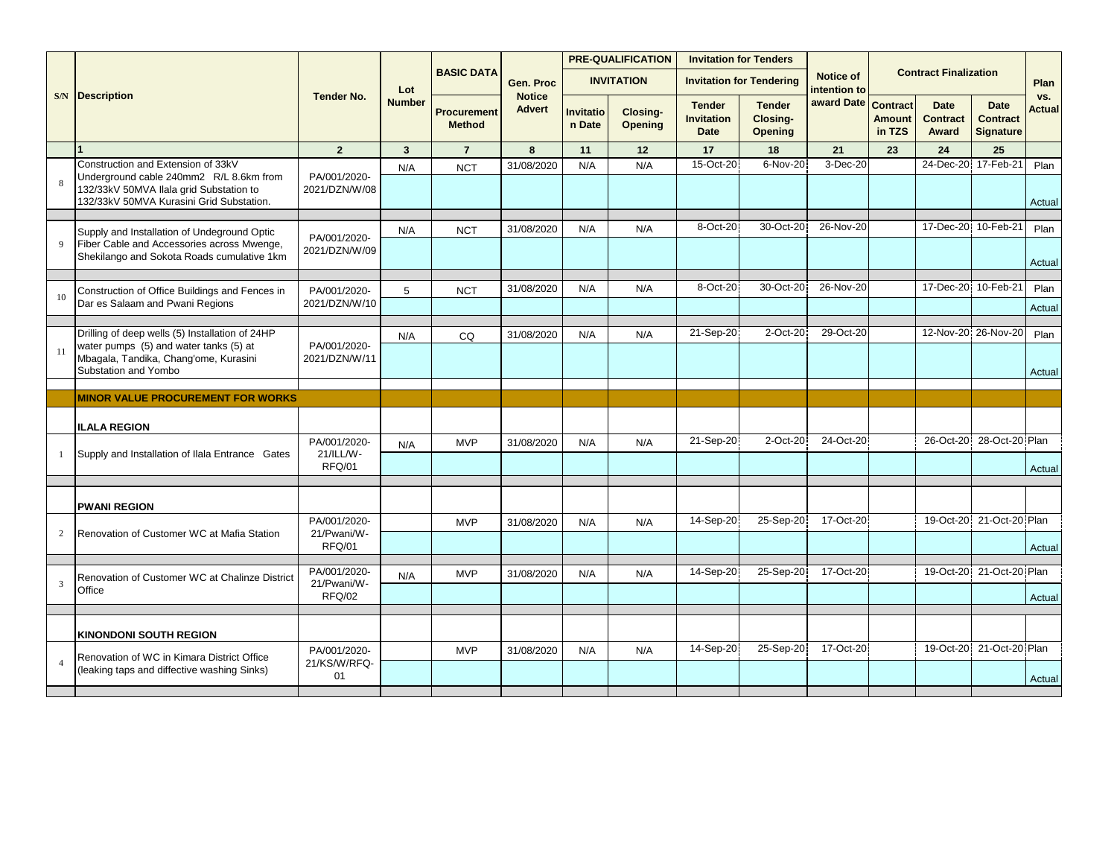|                                                                                                                                                                      |                                     |               |                                     |                                |                            | <b>PRE-QUALIFICATION</b>   | <b>Invitation for Tenders</b>                     |                                             |                           |                                            |                                         |                                                    |                      |
|----------------------------------------------------------------------------------------------------------------------------------------------------------------------|-------------------------------------|---------------|-------------------------------------|--------------------------------|----------------------------|----------------------------|---------------------------------------------------|---------------------------------------------|---------------------------|--------------------------------------------|-----------------------------------------|----------------------------------------------------|----------------------|
|                                                                                                                                                                      |                                     | Lot           | <b>BASIC DATA</b>                   | Gen. Proc                      |                            | <b>INVITATION</b>          |                                                   | <b>Invitation for Tendering</b>             | Notice of<br>intention to |                                            | <b>Contract Finalization</b>            |                                                    | Plan                 |
| <b>S/N</b> Description                                                                                                                                               | <b>Tender No.</b>                   | <b>Number</b> | <b>Procurement</b><br><b>Method</b> | <b>Notice</b><br><b>Advert</b> | <b>Invitatio</b><br>n Date | Closing-<br><b>Opening</b> | <b>Tender</b><br><b>Invitation</b><br><b>Date</b> | <b>Tender</b><br>Closing-<br><b>Opening</b> | award Date                | <b>Contract</b><br><b>Amount</b><br>in TZS | <b>Date</b><br><b>Contract</b><br>Award | <b>Date</b><br><b>Contract</b><br><b>Signature</b> | vs.<br><b>Actual</b> |
|                                                                                                                                                                      | $\overline{2}$                      | $\mathbf{3}$  | $\overline{7}$                      | 8                              | 11                         | 12                         | 17                                                | 18                                          | 21                        | 23                                         | 24                                      | 25                                                 |                      |
| Construction and Extension of 33kV<br>Underground cable 240mm2 R/L 8.6km from<br>132/33kV 50MVA Ilala grid Substation to<br>132/33kV 50MVA Kurasini Grid Substation. | PA/001/2020-<br>2021/DZN/W/08       | N/A           | <b>NCT</b>                          | 31/08/2020                     | N/A                        | N/A                        | 15-Oct-20                                         | 6-Nov-20                                    | 3-Dec-20                  |                                            | 24-Dec-20 17-Feb-21                     |                                                    | Plan<br>Actual       |
|                                                                                                                                                                      |                                     |               |                                     |                                |                            |                            |                                                   |                                             |                           |                                            |                                         |                                                    |                      |
| Supply and Installation of Undeground Optic<br>Fiber Cable and Accessories across Mwenge,<br>Shekilango and Sokota Roads cumulative 1km                              | PA/001/2020-<br>2021/DZN/W/09       | N/A           | <b>NCT</b>                          | 31/08/2020                     | N/A                        | N/A                        | 8-Oct-20                                          | 30-Oct-20                                   | 26-Nov-20                 |                                            | 17-Dec-20                               | 10-Feb-21                                          | Plan<br>Actual       |
|                                                                                                                                                                      |                                     |               |                                     |                                |                            |                            |                                                   |                                             |                           |                                            |                                         |                                                    |                      |
| Construction of Office Buildings and Fences in<br>Dar es Salaam and Pwani Regions                                                                                    | PA/001/2020-<br>2021/DZN/W/10       | 5             | <b>NCT</b>                          | 31/08/2020                     | N/A                        | N/A                        | 8-Oct-20                                          | 30-Oct-20                                   | 26-Nov-20                 |                                            | 17-Dec-20 10-Feb-21                     |                                                    | Plan<br>Actual       |
|                                                                                                                                                                      |                                     |               |                                     |                                |                            |                            |                                                   |                                             |                           |                                            |                                         |                                                    |                      |
| Drilling of deep wells (5) Installation of 24HP<br>water pumps (5) and water tanks (5) at                                                                            | PA/001/2020-                        | N/A           | CQ                                  | 31/08/2020                     | N/A                        | N/A                        | 21-Sep-20                                         | 2-Oct-20                                    | 29-Oct-20                 |                                            | 12-Nov-20 26-Nov-20                     |                                                    | Plan                 |
| Mbagala, Tandika, Chang'ome, Kurasini<br>Substation and Yombo                                                                                                        | 2021/DZN/W/11                       |               |                                     |                                |                            |                            |                                                   |                                             |                           |                                            |                                         |                                                    | Actual               |
| <b>MINOR VALUE PROCUREMENT FOR WORKS</b>                                                                                                                             |                                     |               |                                     |                                |                            |                            |                                                   |                                             |                           |                                            |                                         |                                                    |                      |
|                                                                                                                                                                      |                                     |               |                                     |                                |                            |                            |                                                   |                                             |                           |                                            |                                         |                                                    |                      |
| <b>ILALA REGION</b>                                                                                                                                                  |                                     |               |                                     |                                |                            |                            |                                                   |                                             |                           |                                            |                                         |                                                    |                      |
| Supply and Installation of Ilala Entrance Gates                                                                                                                      | PA/001/2020-<br>21/ILL/W-<br>RFQ/01 | N/A           | <b>MVP</b>                          | 31/08/2020                     | N/A                        | N/A                        | 21-Sep-20                                         | 2-Oct-20                                    | 24-Oct-20                 |                                            |                                         | 26-Oct-20 28-Oct-20 Plan                           | Actual               |
|                                                                                                                                                                      |                                     |               |                                     |                                |                            |                            |                                                   |                                             |                           |                                            |                                         |                                                    |                      |
| <b>PWANI REGION</b>                                                                                                                                                  |                                     |               |                                     |                                |                            |                            |                                                   |                                             |                           |                                            |                                         |                                                    |                      |
| Renovation of Customer WC at Mafia Station                                                                                                                           | PA/001/2020-<br>21/Pwani/W-         |               | <b>MVP</b>                          | 31/08/2020                     | N/A                        | N/A                        | 14-Sep-20                                         | 25-Sep-20                                   | 17-Oct-20                 |                                            |                                         | 19-Oct-20 21-Oct-20 Plan                           |                      |
|                                                                                                                                                                      | RFQ/01                              |               |                                     |                                |                            |                            |                                                   |                                             |                           |                                            |                                         |                                                    | Actual               |
|                                                                                                                                                                      | PA/001/2020-                        | N/A           | <b>MVP</b>                          | 31/08/2020                     | N/A                        | N/A                        | 14-Sep-20                                         | 25-Sep-20                                   | 17-Oct-20                 |                                            |                                         | 19-Oct-20 21-Oct-20 Plan                           |                      |
| Renovation of Customer WC at Chalinze District<br>Office                                                                                                             | 21/Pwani/W-<br><b>RFQ/02</b>        |               |                                     |                                |                            |                            |                                                   |                                             |                           |                                            |                                         |                                                    | Actual               |
|                                                                                                                                                                      |                                     |               |                                     |                                |                            |                            |                                                   |                                             |                           |                                            |                                         |                                                    |                      |
| <b>KINONDONI SOUTH REGION</b>                                                                                                                                        |                                     |               |                                     |                                |                            |                            |                                                   |                                             |                           |                                            |                                         |                                                    |                      |
| Renovation of WC in Kimara District Office                                                                                                                           | PA/001/2020-                        |               | <b>MVP</b>                          | 31/08/2020                     | N/A                        | N/A                        | 14-Sep-20                                         | 25-Sep-20                                   | 17-Oct-20                 |                                            |                                         | 19-Oct-20 21-Oct-20 Plan                           |                      |
| (leaking taps and diffective washing Sinks)                                                                                                                          | 21/KS/W/RFQ-<br>01                  |               |                                     |                                |                            |                            |                                                   |                                             |                           |                                            |                                         |                                                    | Actual               |
|                                                                                                                                                                      |                                     |               |                                     |                                |                            |                            |                                                   |                                             |                           |                                            |                                         |                                                    |                      |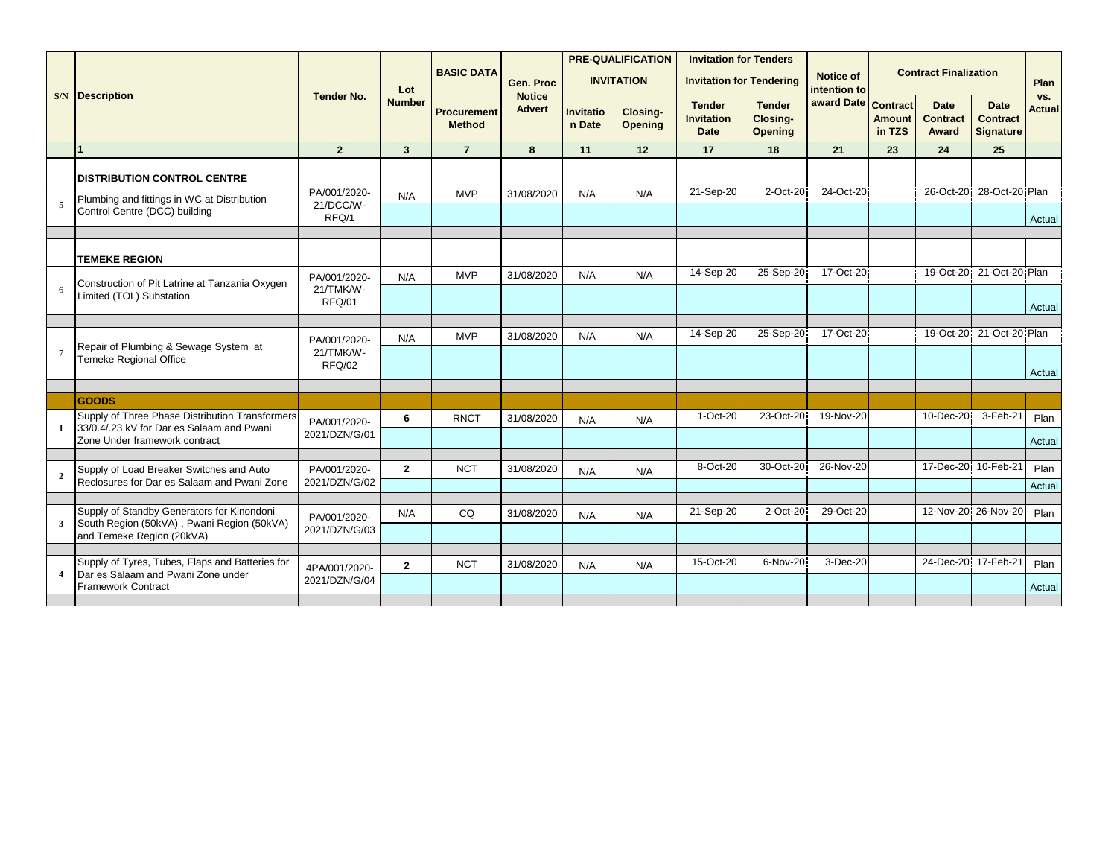|                |                                                                                              |                               |                |                                     |                                |                            | <b>PRE-QUALIFICATION</b>   |                                            | <b>Invitation for Tenders</b>               |                           |                         |                                         |                                                    |                      |
|----------------|----------------------------------------------------------------------------------------------|-------------------------------|----------------|-------------------------------------|--------------------------------|----------------------------|----------------------------|--------------------------------------------|---------------------------------------------|---------------------------|-------------------------|-----------------------------------------|----------------------------------------------------|----------------------|
|                |                                                                                              |                               | Lot            | <b>BASIC DATA</b>                   | Gen. Proc                      |                            | <b>INVITATION</b>          |                                            | <b>Invitation for Tendering</b>             | Notice of<br>intention to |                         | <b>Contract Finalization</b>            |                                                    | Plan                 |
|                | <b>S/N</b> Description                                                                       | <b>Tender No.</b>             | <b>Number</b>  | <b>Procurement</b><br><b>Method</b> | <b>Notice</b><br><b>Advert</b> | <b>Invitatio</b><br>n Date | Closing-<br><b>Opening</b> | <b>Tender</b><br><b>Invitation</b><br>Date | <b>Tender</b><br>Closing-<br><b>Opening</b> | award Date Contract       | <b>Amount</b><br>in TZS | <b>Date</b><br><b>Contract</b><br>Award | <b>Date</b><br><b>Contract</b><br><b>Signature</b> | VS.<br><b>Actual</b> |
|                |                                                                                              | $\overline{2}$                | $\mathbf{3}$   | $\overline{7}$                      | 8                              | 11                         | 12                         | 17                                         | 18                                          | 21                        | 23                      | 24                                      | 25                                                 |                      |
|                | <b>DISTRIBUTION CONTROL CENTRE</b>                                                           |                               |                |                                     |                                |                            |                            |                                            |                                             |                           |                         |                                         |                                                    |                      |
|                | Plumbing and fittings in WC at Distribution                                                  | PA/001/2020-                  | N/A            | <b>MVP</b>                          | 31/08/2020                     | N/A                        | N/A                        | 21-Sep-20                                  | 2-Oct-20                                    | 24-Oct-20                 |                         | 26-Oct-20                               | 28-Oct-20 Plan                                     |                      |
|                | Control Centre (DCC) building                                                                | 21/DCC/W-<br>RFQ/1            |                |                                     |                                |                            |                            |                                            |                                             |                           |                         |                                         |                                                    | Actual               |
|                |                                                                                              |                               |                |                                     |                                |                            |                            |                                            |                                             |                           |                         |                                         |                                                    |                      |
|                | <b>TEMEKE REGION</b>                                                                         |                               |                |                                     |                                |                            |                            |                                            |                                             |                           |                         |                                         |                                                    |                      |
|                | Construction of Pit Latrine at Tanzania Oxygen                                               | PA/001/2020-                  | N/A            | <b>MVP</b>                          | 31/08/2020                     | N/A                        | N/A                        | 14-Sep-20                                  | 25-Sep-20                                   | 17-Oct-20                 |                         |                                         | 19-Oct-20 21-Oct-20 Plan                           |                      |
| 6              | Limited (TOL) Substation                                                                     | 21/TMK/W-<br>RFQ/01           |                |                                     |                                |                            |                            |                                            |                                             |                           |                         |                                         |                                                    | Actual               |
|                |                                                                                              |                               |                |                                     |                                |                            |                            |                                            |                                             |                           |                         |                                         |                                                    |                      |
|                | Repair of Plumbing & Sewage System at                                                        | PA/001/2020-                  | N/A            | <b>MVP</b>                          | 31/08/2020                     | N/A                        | N/A                        | 14-Sep-20                                  | 25-Sep-20                                   | 17-Oct-20                 |                         |                                         | 19-Oct-20 21-Oct-20 Plan                           |                      |
|                | <b>Temeke Regional Office</b>                                                                | 21/TMK/W-<br>RFQ/02           |                |                                     |                                |                            |                            |                                            |                                             |                           |                         |                                         |                                                    | Actual               |
|                |                                                                                              |                               |                |                                     |                                |                            |                            |                                            |                                             |                           |                         |                                         |                                                    |                      |
|                | GOODS                                                                                        |                               |                |                                     |                                |                            |                            |                                            |                                             |                           |                         |                                         |                                                    |                      |
|                | Supply of Three Phase Distribution Transformers<br>33/0.4/.23 kV for Dar es Salaam and Pwani | PA/001/2020-                  | 6              | <b>RNCT</b>                         | 31/08/2020                     | N/A                        | N/A                        | 1-Oct-20                                   | 23-Oct-20                                   | 19-Nov-20                 |                         | 10-Dec-20                               | 3-Feb-21                                           | Plan                 |
|                | Zone Under framework contract                                                                | 2021/DZN/G/01                 |                |                                     |                                |                            |                            |                                            |                                             |                           |                         |                                         |                                                    | Actual               |
|                |                                                                                              |                               |                |                                     |                                |                            |                            |                                            |                                             |                           |                         |                                         |                                                    |                      |
| $\overline{2}$ | Supply of Load Breaker Switches and Auto                                                     | PA/001/2020-                  | $\overline{2}$ | <b>NCT</b>                          | 31/08/2020                     | N/A                        | N/A                        | 8-Oct-20                                   | 30-Oct-20                                   | 26-Nov-20                 |                         |                                         | 17-Dec-20 10-Feb-21                                | Plan                 |
|                | Reclosures for Dar es Salaam and Pwani Zone                                                  | 2021/DZN/G/02                 |                |                                     |                                |                            |                            |                                            |                                             |                           |                         |                                         |                                                    | Actual               |
|                | Supply of Standby Generators for Kinondoni                                                   |                               | N/A            | CQ                                  | 31/08/2020                     |                            |                            | 21-Sep-20                                  | 2-Oct-20                                    | 29-Oct-20                 |                         |                                         | 12-Nov-20 26-Nov-20                                | Plan                 |
| 3              | South Region (50kVA), Pwani Region (50kVA)<br>and Temeke Region (20kVA)                      | PA/001/2020-<br>2021/DZN/G/03 |                |                                     |                                | N/A                        | N/A                        |                                            |                                             |                           |                         |                                         |                                                    |                      |
|                |                                                                                              |                               |                |                                     |                                |                            |                            |                                            |                                             |                           |                         |                                         |                                                    |                      |
|                | Supply of Tyres, Tubes, Flaps and Batteries for                                              | 4PA/001/2020-                 | $\mathbf{2}$   | <b>NCT</b>                          | 31/08/2020                     | N/A                        | N/A                        | 15-Oct-20                                  | 6-Nov-20                                    | 3-Dec-20                  |                         |                                         | 24-Dec-20 17-Feb-21                                | Plan                 |
|                | Dar es Salaam and Pwani Zone under<br><b>Framework Contract</b>                              | 2021/DZN/G/04                 |                |                                     |                                |                            |                            |                                            |                                             |                           |                         |                                         |                                                    | Actual               |
|                |                                                                                              |                               |                |                                     |                                |                            |                            |                                            |                                             |                           |                         |                                         |                                                    |                      |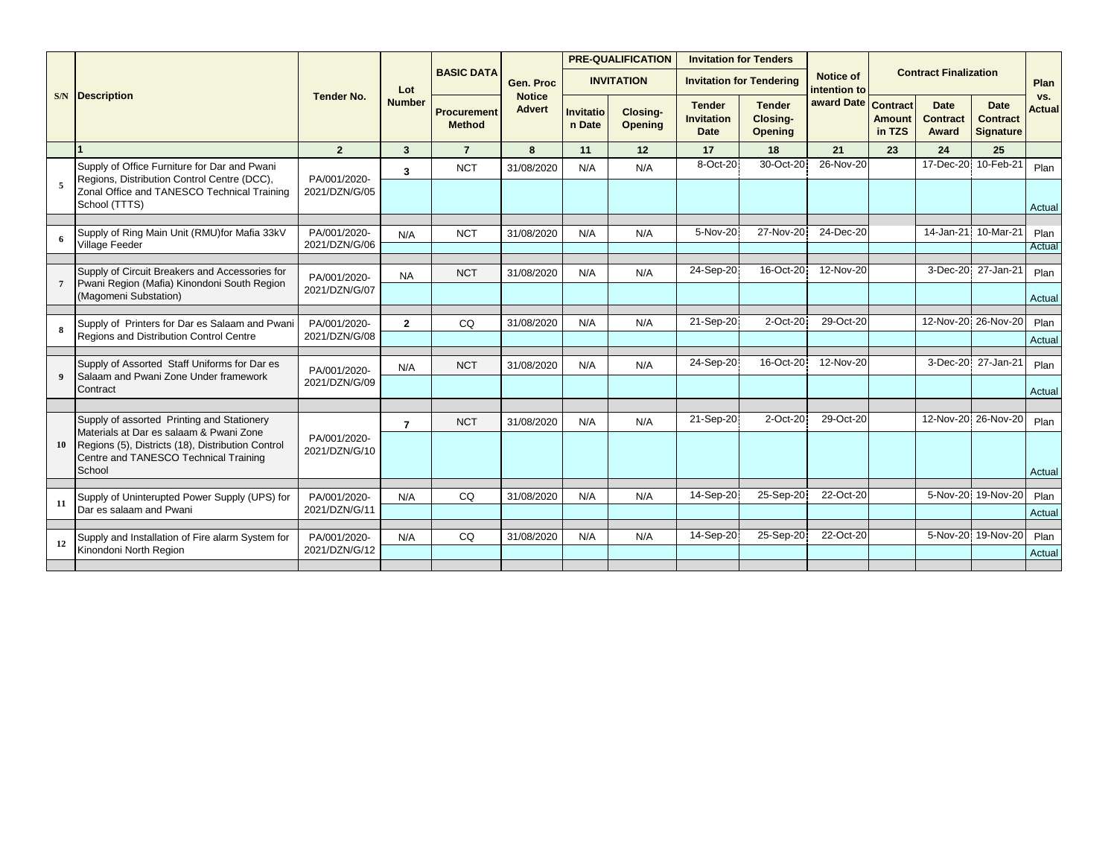|    |                                                                                                                                                             |                               |                |                                     |                                |                            | <b>PRE-QUALIFICATION</b>   | <b>Invitation for Tenders</b>              |                                             |                           |                                     |                                         |                                                    |                      |
|----|-------------------------------------------------------------------------------------------------------------------------------------------------------------|-------------------------------|----------------|-------------------------------------|--------------------------------|----------------------------|----------------------------|--------------------------------------------|---------------------------------------------|---------------------------|-------------------------------------|-----------------------------------------|----------------------------------------------------|----------------------|
|    |                                                                                                                                                             |                               | Lot            | <b>BASIC DATA</b>                   | Gen. Proc                      |                            | <b>INVITATION</b>          |                                            | <b>Invitation for Tendering</b>             | Notice of<br>intention to |                                     | <b>Contract Finalization</b>            |                                                    | Plan                 |
|    | <b>S/N</b> Description                                                                                                                                      | <b>Tender No.</b>             | <b>Number</b>  | <b>Procurement</b><br><b>Method</b> | <b>Notice</b><br><b>Advert</b> | <b>Invitatio</b><br>n Date | Closing-<br><b>Opening</b> | <b>Tender</b><br><b>Invitation</b><br>Date | <b>Tender</b><br>Closing-<br><b>Opening</b> | award Date                | Contract<br><b>Amount</b><br>in TZS | <b>Date</b><br><b>Contract</b><br>Award | <b>Date</b><br><b>Contract</b><br><b>Signature</b> | VS.<br><b>Actual</b> |
|    |                                                                                                                                                             | $\overline{2}$                | $\mathbf{3}$   | $\overline{7}$                      | 8                              | 11                         | 12                         | 17                                         | 18                                          | 21                        | 23                                  | 24                                      | 25                                                 |                      |
| 5  | Supply of Office Furniture for Dar and Pwani<br>Regions, Distribution Control Centre (DCC),<br>Zonal Office and TANESCO Technical Training<br>School (TTTS) | PA/001/2020-<br>2021/DZN/G/05 | 3              | <b>NCT</b>                          | 31/08/2020                     | N/A                        | N/A                        | 8-Oct-20                                   | 30-Oct-20                                   | 26-Nov-20                 |                                     | 17-Dec-20                               | 10-Feb-21                                          | Plan<br>Actual       |
|    | Supply of Ring Main Unit (RMU)for Mafia 33kV                                                                                                                | PA/001/2020-                  | N/A            | <b>NCT</b>                          | 31/08/2020                     | N/A                        | N/A                        | 5-Nov-20                                   | 27-Nov-20                                   | 24-Dec-20                 |                                     | 14-Jan-21                               | 10-Mar-21                                          | Plan                 |
|    | Village Feeder                                                                                                                                              | 2021/DZN/G/06                 |                |                                     |                                |                            |                            |                                            |                                             |                           |                                     |                                         |                                                    | Actual               |
|    |                                                                                                                                                             |                               |                |                                     |                                |                            |                            |                                            |                                             |                           |                                     |                                         |                                                    |                      |
|    | Supply of Circuit Breakers and Accessories for<br>Pwani Region (Mafia) Kinondoni South Region                                                               | PA/001/2020-<br>2021/DZN/G/07 | <b>NA</b>      | <b>NCT</b>                          | 31/08/2020                     | N/A                        | N/A                        | 24-Sep-20                                  | 16-Oct-20                                   | 12-Nov-20                 |                                     |                                         | 3-Dec-20 27-Jan-21                                 | Plan                 |
|    | (Magomeni Substation)                                                                                                                                       |                               |                |                                     |                                |                            |                            |                                            |                                             |                           |                                     |                                         |                                                    | Actual               |
|    | Supply of Printers for Dar es Salaam and Pwani                                                                                                              | PA/001/2020-                  | $\overline{2}$ | CQ                                  | 31/08/2020                     | N/A                        | N/A                        | 21-Sep-20                                  | 2-Oct-20                                    | 29-Oct-20                 |                                     |                                         | 12-Nov-20 26-Nov-20                                | Plan                 |
|    | Regions and Distribution Control Centre                                                                                                                     | 2021/DZN/G/08                 |                |                                     |                                |                            |                            |                                            |                                             |                           |                                     |                                         |                                                    | Actual               |
|    |                                                                                                                                                             |                               |                |                                     |                                |                            |                            | 24-Sep-20                                  | 16-Oct-20                                   | 12-Nov-20                 |                                     | 3-Dec-20                                | 27-Jan-21                                          |                      |
|    | Supply of Assorted Staff Uniforms for Dar es<br>Salaam and Pwani Zone Under framework                                                                       | PA/001/2020-<br>2021/DZN/G/09 | N/A            | <b>NCT</b>                          | 31/08/2020                     | N/A                        | N/A                        |                                            |                                             |                           |                                     |                                         |                                                    | Plan                 |
|    | Contract                                                                                                                                                    |                               |                |                                     |                                |                            |                            |                                            |                                             |                           |                                     |                                         |                                                    | Actual               |
|    |                                                                                                                                                             |                               |                |                                     |                                |                            |                            |                                            |                                             |                           |                                     |                                         |                                                    |                      |
|    | Supply of assorted Printing and Stationery<br>Materials at Dar es salaam & Pwani Zone                                                                       |                               | $\overline{7}$ | <b>NCT</b>                          | 31/08/2020                     | N/A                        | N/A                        | 21-Sep-20                                  | 2-Oct-20                                    | 29-Oct-20                 |                                     |                                         | 12-Nov-20 26-Nov-20                                | Plan                 |
| 10 | Regions (5), Districts (18), Distribution Control<br>Centre and TANESCO Technical Training<br>School                                                        | PA/001/2020-<br>2021/DZN/G/10 |                |                                     |                                |                            |                            |                                            |                                             |                           |                                     |                                         |                                                    | Actual               |
|    |                                                                                                                                                             |                               |                |                                     |                                |                            |                            |                                            |                                             | 22-Oct-20                 |                                     |                                         | 19-Nov-20                                          |                      |
| 11 | Supply of Uninterupted Power Supply (UPS) for<br>Dar es salaam and Pwani                                                                                    | PA/001/2020-<br>2021/DZN/G/11 | N/A            | CQ                                  | 31/08/2020                     | N/A                        | N/A                        | 14-Sep-20                                  | 25-Sep-20                                   |                           |                                     | 5-Nov-20                                |                                                    | Plan<br>Actual       |
|    |                                                                                                                                                             |                               |                |                                     |                                |                            |                            |                                            |                                             |                           |                                     |                                         |                                                    |                      |
| 12 | Supply and Installation of Fire alarm System for<br>Kinondoni North Region                                                                                  | PA/001/2020-<br>2021/DZN/G/12 | N/A            | CQ                                  | 31/08/2020                     | N/A                        | N/A                        | 14-Sep-20                                  | 25-Sep-20                                   | 22-Oct-20                 |                                     |                                         | 5-Nov-20 19-Nov-20                                 | Plan<br>Actual       |
|    |                                                                                                                                                             |                               |                |                                     |                                |                            |                            |                                            |                                             |                           |                                     |                                         |                                                    |                      |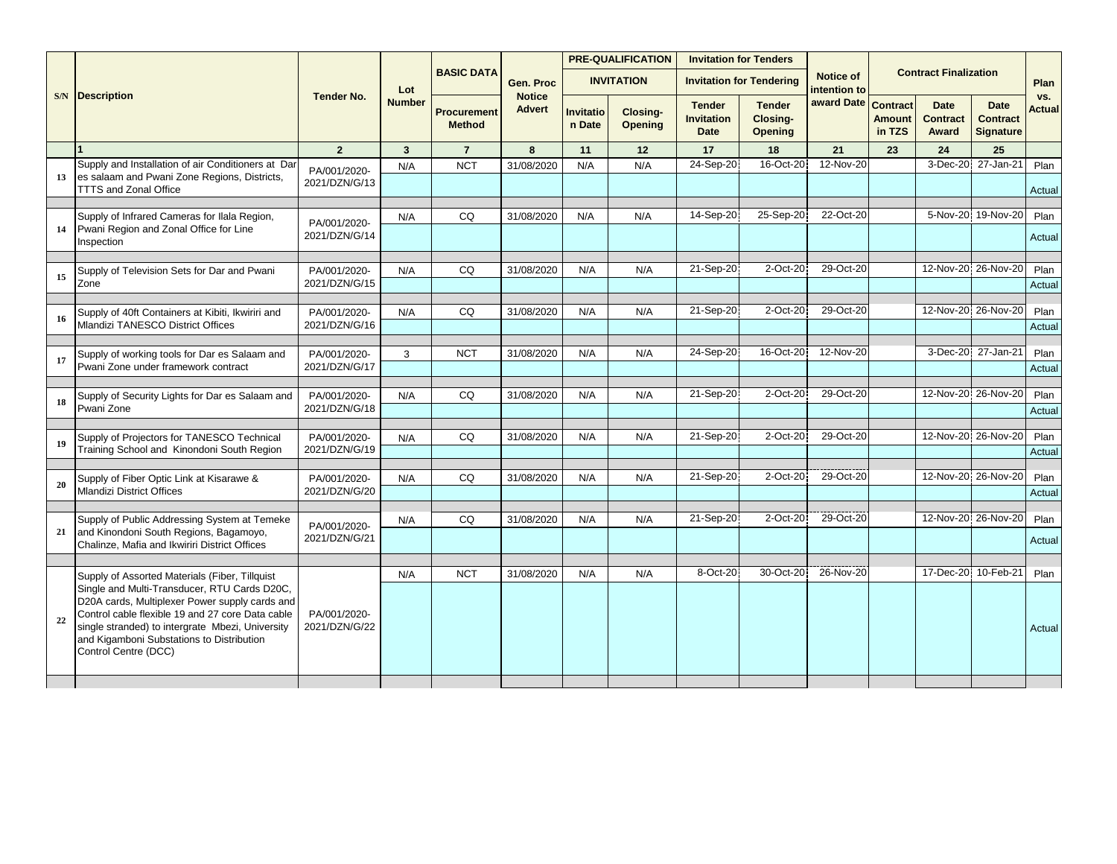|           |                                                                                                                                                                                                                                                                             |                               |               |                                     |                                |                     | <b>PRE-QUALIFICATION</b>   | <b>Invitation for Tenders</b>                     |                                      |                           |                                            |                                         |                                                    |                      |
|-----------|-----------------------------------------------------------------------------------------------------------------------------------------------------------------------------------------------------------------------------------------------------------------------------|-------------------------------|---------------|-------------------------------------|--------------------------------|---------------------|----------------------------|---------------------------------------------------|--------------------------------------|---------------------------|--------------------------------------------|-----------------------------------------|----------------------------------------------------|----------------------|
|           |                                                                                                                                                                                                                                                                             |                               | Lot           | <b>BASIC DATA</b>                   | Gen. Proc                      |                     | <b>INVITATION</b>          |                                                   | <b>Invitation for Tendering</b>      | Notice of<br>intention to |                                            | <b>Contract Finalization</b>            |                                                    | Plan                 |
|           | <b>S/N</b> Description                                                                                                                                                                                                                                                      | <b>Tender No.</b>             | <b>Number</b> | <b>Procurement</b><br><b>Method</b> | <b>Notice</b><br><b>Advert</b> | Invitatio<br>n Date | Closing-<br><b>Opening</b> | <b>Tender</b><br><b>Invitation</b><br><b>Date</b> | <b>Tender</b><br>Closing-<br>Opening | award Date                | <b>Contract</b><br><b>Amount</b><br>in TZS | <b>Date</b><br><b>Contract</b><br>Award | <b>Date</b><br><b>Contract</b><br><b>Signature</b> | VS.<br><b>Actual</b> |
|           |                                                                                                                                                                                                                                                                             | $\overline{2}$                | $\mathbf{3}$  | $\overline{7}$                      | 8                              | 11                  | 12                         | 17                                                | 18                                   | 21                        | 23                                         | 24                                      | 25                                                 |                      |
| 13        | Supply and Installation of air Conditioners at Dar<br>es salaam and Pwani Zone Regions, Districts,                                                                                                                                                                          | PA/001/2020-<br>2021/DZN/G/13 | N/A           | <b>NCT</b>                          | 31/08/2020                     | N/A                 | N/A                        | 24-Sep-20                                         | 16-Oct-20                            | 12-Nov-20                 |                                            | 3-Dec-20                                | 27-Jan-21                                          | Plan                 |
|           | <b>TTTS and Zonal Office</b>                                                                                                                                                                                                                                                |                               |               |                                     |                                |                     |                            |                                                   |                                      |                           |                                            |                                         |                                                    | Actual               |
|           | Supply of Infrared Cameras for Ilala Region,                                                                                                                                                                                                                                | PA/001/2020-                  | N/A           | CQ                                  | 31/08/2020                     | N/A                 | N/A                        | 14-Sep-20                                         | 25-Sep-20                            | 22-Oct-20                 |                                            |                                         | 5-Nov-20 19-Nov-20                                 | Plan                 |
| 14        | Pwani Region and Zonal Office for Line<br>Inspection                                                                                                                                                                                                                        | 2021/DZN/G/14                 |               |                                     |                                |                     |                            |                                                   |                                      |                           |                                            |                                         |                                                    | Actual               |
|           | Supply of Television Sets for Dar and Pwani                                                                                                                                                                                                                                 | PA/001/2020-                  | N/A           | CQ                                  | 31/08/2020                     | N/A                 | N/A                        | 21-Sep-20                                         | 2-Oct-20                             | 29-Oct-20                 |                                            |                                         | 12-Nov-20 26-Nov-20                                | Plan                 |
| 15        | Zone                                                                                                                                                                                                                                                                        | 2021/DZN/G/15                 |               |                                     |                                |                     |                            |                                                   |                                      |                           |                                            |                                         |                                                    | Actual               |
|           | Supply of 40ft Containers at Kibiti, Ikwiriri and                                                                                                                                                                                                                           | PA/001/2020-                  | N/A           | CQ                                  | 31/08/2020                     | N/A                 | N/A                        | 21-Sep-20                                         | 2-Oct-20                             | 29-Oct-20                 |                                            |                                         | 12-Nov-20 26-Nov-20                                | Plan                 |
| <b>16</b> | <b>Mlandizi TANESCO District Offices</b>                                                                                                                                                                                                                                    | 2021/DZN/G/16                 |               |                                     |                                |                     |                            |                                                   |                                      |                           |                                            |                                         |                                                    | Actual               |
|           | Supply of working tools for Dar es Salaam and                                                                                                                                                                                                                               | PA/001/2020-                  | 3             | <b>NCT</b>                          | 31/08/2020                     | N/A                 | N/A                        | 24-Sep-20                                         | 16-Oct-20                            | 12-Nov-20                 |                                            |                                         | 3-Dec-20 27-Jan-21                                 | Plan                 |
| 17        | Pwani Zone under framework contract                                                                                                                                                                                                                                         | 2021/DZN/G/17                 |               |                                     |                                |                     |                            |                                                   |                                      |                           |                                            |                                         |                                                    | Actual               |
|           | Supply of Security Lights for Dar es Salaam and                                                                                                                                                                                                                             | PA/001/2020-                  | N/A           | CQ                                  | 31/08/2020                     | N/A                 | N/A                        | 21-Sep-20                                         | 2-Oct-20                             | 29-Oct-20                 |                                            |                                         | 12-Nov-20 26-Nov-20                                | Plan                 |
| 18        | Pwani Zone                                                                                                                                                                                                                                                                  | 2021/DZN/G/18                 |               |                                     |                                |                     |                            |                                                   |                                      |                           |                                            |                                         |                                                    | Actual               |
|           | Supply of Projectors for TANESCO Technical                                                                                                                                                                                                                                  | PA/001/2020-                  | N/A           | CQ                                  | 31/08/2020                     | N/A                 | N/A                        | 21-Sep-20                                         | 2-Oct-20                             | 29-Oct-20                 |                                            |                                         | 12-Nov-20 26-Nov-20                                | Plan                 |
| 19        | Training School and Kinondoni South Region                                                                                                                                                                                                                                  | 2021/DZN/G/19                 |               |                                     |                                |                     |                            |                                                   |                                      |                           |                                            |                                         |                                                    | Actual               |
|           | Supply of Fiber Optic Link at Kisarawe &                                                                                                                                                                                                                                    | PA/001/2020-                  | N/A           | CQ                                  | 31/08/2020                     | N/A                 | N/A                        | 21-Sep-20                                         | 2-Oct-20                             | 29-Oct-20                 |                                            |                                         | 12-Nov-20 26-Nov-20                                | Plan                 |
| 20        | <b>Mlandizi District Offices</b>                                                                                                                                                                                                                                            | 2021/DZN/G/20                 |               |                                     |                                |                     |                            |                                                   |                                      |                           |                                            |                                         |                                                    | Actual               |
|           | Supply of Public Addressing System at Temeke                                                                                                                                                                                                                                |                               | N/A           | CQ                                  | 31/08/2020                     | N/A                 | N/A                        | 21-Sep-20                                         | 2-Oct-20                             | 29-Oct-20                 |                                            |                                         | 12-Nov-20 26-Nov-20                                | Plan                 |
| 21        | and Kinondoni South Regions, Bagamoyo,<br>Chalinze, Mafia and Ikwiriri District Offices                                                                                                                                                                                     | PA/001/2020-<br>2021/DZN/G/21 |               |                                     |                                |                     |                            |                                                   |                                      |                           |                                            |                                         |                                                    | Actual               |
|           |                                                                                                                                                                                                                                                                             |                               |               |                                     |                                |                     |                            |                                                   |                                      |                           |                                            |                                         |                                                    |                      |
|           | Supply of Assorted Materials (Fiber, Tillquist                                                                                                                                                                                                                              |                               | N/A           | <b>NCT</b>                          | 31/08/2020                     | N/A                 | N/A                        | 8-Oct-20                                          | 30-Oct-20                            | 26-Nov-20                 |                                            | 17-Dec-20                               | 10-Feb-21                                          | Plan                 |
| 22        | Single and Multi-Transducer, RTU Cards D20C,<br>D20A cards, Multiplexer Power supply cards and<br>Control cable flexible 19 and 27 core Data cable<br>single stranded) to intergrate Mbezi, University<br>and Kigamboni Substations to Distribution<br>Control Centre (DCC) | PA/001/2020-<br>2021/DZN/G/22 |               |                                     |                                |                     |                            |                                                   |                                      |                           |                                            |                                         |                                                    | Actual               |
|           |                                                                                                                                                                                                                                                                             |                               |               |                                     |                                |                     |                            |                                                   |                                      |                           |                                            |                                         |                                                    |                      |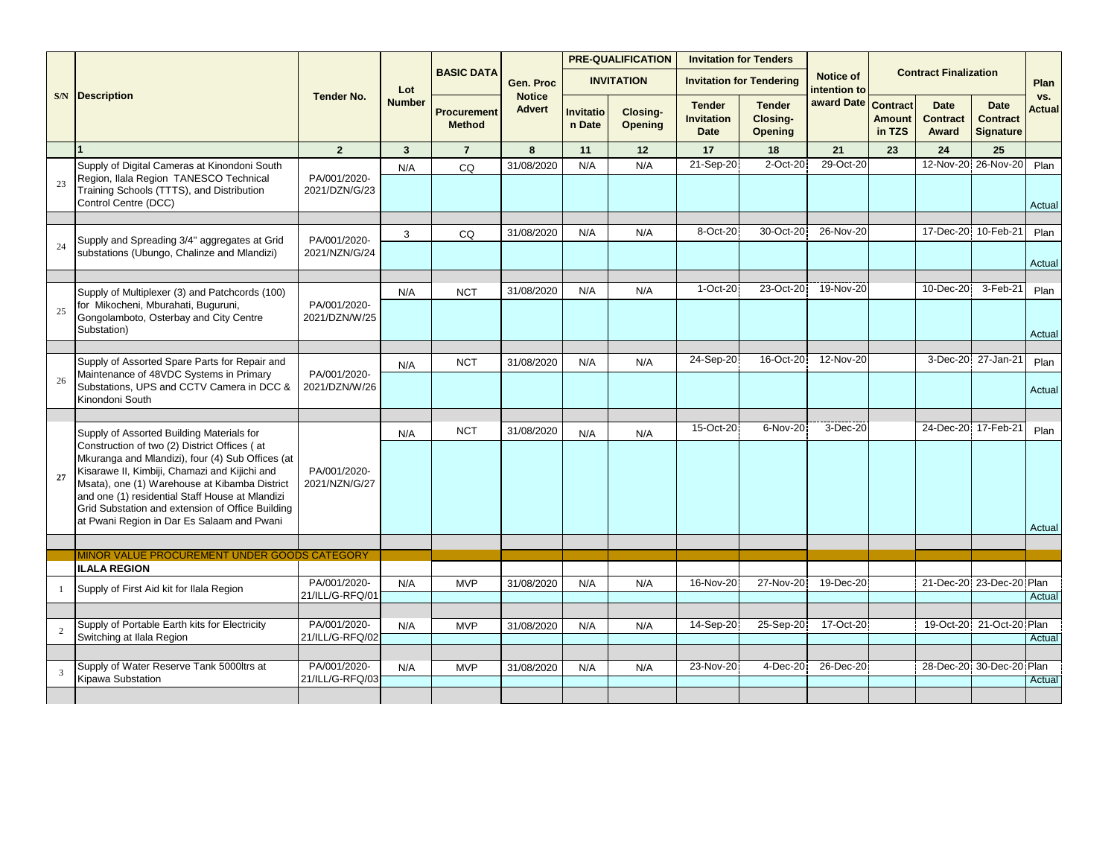|    |                                                                                                                                                                                                                                                                                                                                                         |                                 |               |                                     |                                |                     | <b>PRE-QUALIFICATION</b>   | <b>Invitation for Tenders</b>                     |                                      |                           |                                            |                                         |                                                    |                      |
|----|---------------------------------------------------------------------------------------------------------------------------------------------------------------------------------------------------------------------------------------------------------------------------------------------------------------------------------------------------------|---------------------------------|---------------|-------------------------------------|--------------------------------|---------------------|----------------------------|---------------------------------------------------|--------------------------------------|---------------------------|--------------------------------------------|-----------------------------------------|----------------------------------------------------|----------------------|
|    |                                                                                                                                                                                                                                                                                                                                                         |                                 | Lot           | <b>BASIC DATA</b>                   | Gen. Proc                      |                     | <b>INVITATION</b>          |                                                   | <b>Invitation for Tendering</b>      | Notice of<br>intention to |                                            | <b>Contract Finalization</b>            |                                                    | Plan                 |
|    | <b>S/N</b> Description                                                                                                                                                                                                                                                                                                                                  | <b>Tender No.</b>               | <b>Number</b> | <b>Procurement</b><br><b>Method</b> | <b>Notice</b><br><b>Advert</b> | Invitatio<br>n Date | Closing-<br><b>Opening</b> | <b>Tender</b><br><b>Invitation</b><br><b>Date</b> | <b>Tender</b><br>Closing-<br>Opening | award Date                | <b>Contract</b><br><b>Amount</b><br>in TZS | <b>Date</b><br><b>Contract</b><br>Award | <b>Date</b><br><b>Contract</b><br><b>Signature</b> | VS.<br><b>Actual</b> |
|    |                                                                                                                                                                                                                                                                                                                                                         | $\overline{2}$                  | 3             | $\overline{7}$                      | 8                              | 11                  | 12                         | 17                                                | 18                                   | 21                        | 23                                         | 24                                      | 25                                                 |                      |
|    | Supply of Digital Cameras at Kinondoni South                                                                                                                                                                                                                                                                                                            |                                 | N/A           | CQ                                  | 31/08/2020                     | N/A                 | N/A                        | 21-Sep-20                                         | 2-Oct-20                             | 29-Oct-20                 |                                            | 12-Nov-20                               | 26-Nov-20                                          | Plan                 |
| 23 | Region, Ilala Region TANESCO Technical<br>Training Schools (TTTS), and Distribution<br>Control Centre (DCC)                                                                                                                                                                                                                                             | PA/001/2020-<br>2021/DZN/G/23   |               |                                     |                                |                     |                            |                                                   |                                      |                           |                                            |                                         |                                                    | Actual               |
|    |                                                                                                                                                                                                                                                                                                                                                         |                                 |               |                                     |                                |                     |                            |                                                   |                                      |                           |                                            |                                         |                                                    |                      |
|    | Supply and Spreading 3/4" aggregates at Grid                                                                                                                                                                                                                                                                                                            | PA/001/2020-                    | 3             | CO                                  | 31/08/2020                     | N/A                 | N/A                        | 8-Oct-20                                          | 30-Oct-20                            | 26-Nov-20                 |                                            | 17-Dec-20 10-Feb-21                     |                                                    | Plan                 |
| 24 | substations (Ubungo, Chalinze and Mlandizi)                                                                                                                                                                                                                                                                                                             | 2021/NZN/G/24                   |               |                                     |                                |                     |                            |                                                   |                                      |                           |                                            |                                         |                                                    | Actual               |
|    |                                                                                                                                                                                                                                                                                                                                                         |                                 |               |                                     |                                |                     |                            | 1-Oct-20                                          | 23-Oct-20                            | 19-Nov-20                 |                                            | 10-Dec-20                               | 3-Feb-21                                           |                      |
|    | Supply of Multiplexer (3) and Patchcords (100)<br>for Mikocheni, Mburahati, Buguruni,                                                                                                                                                                                                                                                                   | PA/001/2020-                    | N/A           | <b>NCT</b>                          | 31/08/2020                     | N/A                 | N/A                        |                                                   |                                      |                           |                                            |                                         |                                                    | Plan                 |
| 25 | Gongolamboto, Osterbay and City Centre<br>Substation)                                                                                                                                                                                                                                                                                                   | 2021/DZN/W/25                   |               |                                     |                                |                     |                            |                                                   |                                      |                           |                                            |                                         |                                                    | Actual               |
|    |                                                                                                                                                                                                                                                                                                                                                         |                                 |               |                                     |                                |                     |                            |                                                   |                                      |                           |                                            |                                         |                                                    |                      |
|    | Supply of Assorted Spare Parts for Repair and                                                                                                                                                                                                                                                                                                           |                                 | N/A           | <b>NCT</b>                          | 31/08/2020                     | N/A                 | N/A                        | 24-Sep-20                                         | 16-Oct-20                            | 12-Nov-20                 |                                            | 3-Dec-20                                | 27-Jan-21                                          | Plan                 |
| 26 | Maintenance of 48VDC Systems in Primary<br>Substations, UPS and CCTV Camera in DCC &<br>Kinondoni South                                                                                                                                                                                                                                                 | PA/001/2020-<br>2021/DZN/W/26   |               |                                     |                                |                     |                            |                                                   |                                      |                           |                                            |                                         |                                                    | Actual               |
|    |                                                                                                                                                                                                                                                                                                                                                         |                                 |               |                                     |                                |                     |                            |                                                   |                                      |                           |                                            |                                         |                                                    |                      |
|    | Supply of Assorted Building Materials for                                                                                                                                                                                                                                                                                                               |                                 | N/A           | <b>NCT</b>                          | 31/08/2020                     | N/A                 | N/A                        | 15-Oct-20                                         | 6-Nov-20                             | 3-Dec-20                  |                                            | 24-Dec-20 17-Feb-21                     |                                                    | Plan                 |
| 27 | Construction of two (2) District Offices (at<br>Mkuranga and Mlandizi), four (4) Sub Offices (at<br>Kisarawe II, Kimbiji, Chamazi and Kijichi and<br>Msata), one (1) Warehouse at Kibamba District<br>and one (1) residential Staff House at Mlandizi<br>Grid Substation and extension of Office Building<br>at Pwani Region in Dar Es Salaam and Pwani | PA/001/2020-<br>2021/NZN/G/27   |               |                                     |                                |                     |                            |                                                   |                                      |                           |                                            |                                         |                                                    | Actual               |
|    |                                                                                                                                                                                                                                                                                                                                                         |                                 |               |                                     |                                |                     |                            |                                                   |                                      |                           |                                            |                                         |                                                    |                      |
|    | MINOR VALUE PROCUREMENT UNDER GOODS CATEGORY                                                                                                                                                                                                                                                                                                            |                                 |               |                                     |                                |                     |                            |                                                   |                                      |                           |                                            |                                         |                                                    |                      |
|    | <b>ILALA REGION</b>                                                                                                                                                                                                                                                                                                                                     |                                 |               |                                     |                                |                     |                            |                                                   |                                      |                           |                                            |                                         |                                                    |                      |
|    | Supply of First Aid kit for Ilala Region                                                                                                                                                                                                                                                                                                                | PA/001/2020-<br>21/ILL/G-RFQ/01 | N/A           | <b>MVP</b>                          | 31/08/2020                     | N/A                 | N/A                        | 16-Nov-20                                         | 27-Nov-20                            | 19-Dec-20                 |                                            |                                         | 21-Dec-20 23-Dec-20 Plan                           | Actual               |
|    |                                                                                                                                                                                                                                                                                                                                                         |                                 |               |                                     |                                |                     |                            |                                                   |                                      |                           |                                            |                                         |                                                    |                      |
|    | Supply of Portable Earth kits for Electricity<br>Switching at Ilala Region                                                                                                                                                                                                                                                                              | PA/001/2020-<br>21/ILL/G-RFQ/02 | N/A           | <b>MVP</b>                          | 31/08/2020                     | N/A                 | N/A                        | 14-Sep-20                                         | 25-Sep-20                            | 17-Oct-20                 |                                            | 19-Oct-20                               | 21-Oct-20 Plan                                     | Actual               |
|    |                                                                                                                                                                                                                                                                                                                                                         |                                 |               |                                     |                                |                     |                            |                                                   |                                      |                           |                                            |                                         |                                                    |                      |
|    | Supply of Water Reserve Tank 5000ltrs at                                                                                                                                                                                                                                                                                                                | PA/001/2020-                    | N/A           | <b>MVP</b>                          | 31/08/2020                     | N/A                 | N/A                        | 23-Nov-20                                         | 4-Dec-20                             | 26-Dec-20                 |                                            |                                         | 28-Dec-20 30-Dec-20 Plan                           |                      |
|    | Kipawa Substation                                                                                                                                                                                                                                                                                                                                       | 21/ILL/G-RFQ/03                 |               |                                     |                                |                     |                            |                                                   |                                      |                           |                                            |                                         |                                                    | Actual               |
|    |                                                                                                                                                                                                                                                                                                                                                         |                                 |               |                                     |                                |                     |                            |                                                   |                                      |                           |                                            |                                         |                                                    |                      |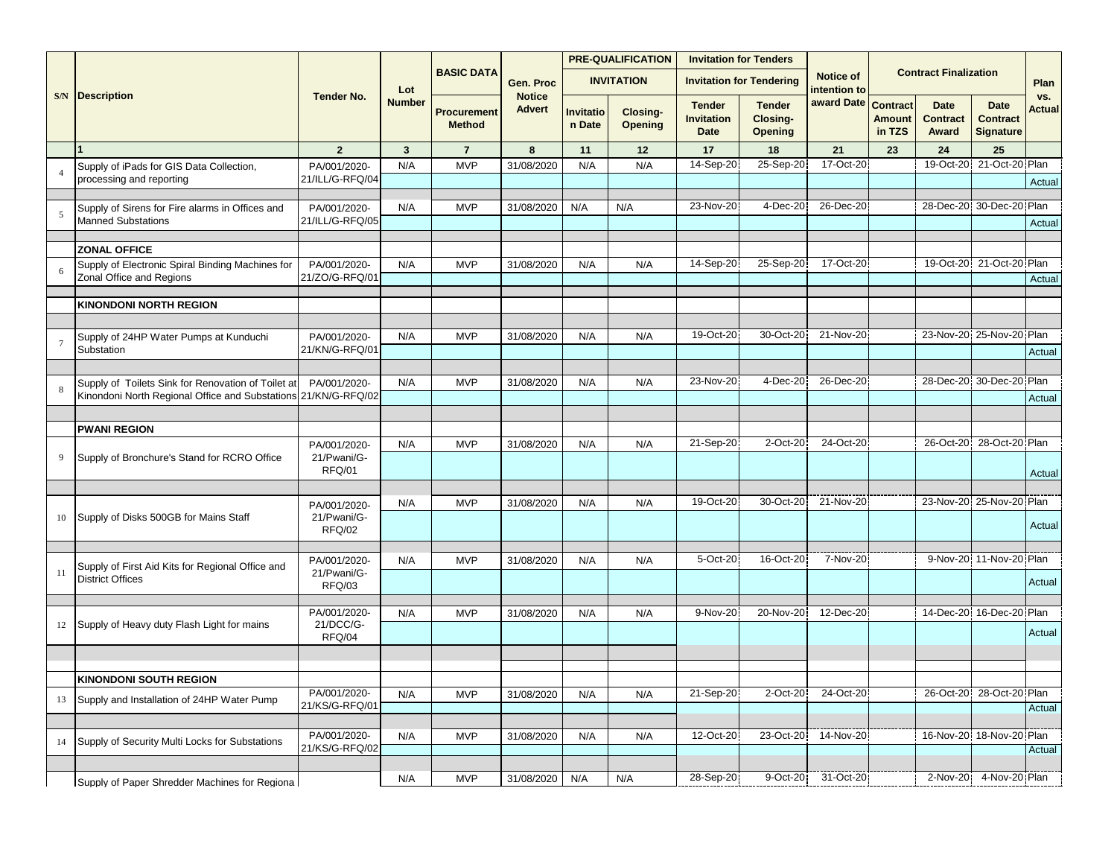|    |                                                                              |                                 |               |                              |                                |                     | <b>PRE-QUALIFICATION</b> | <b>Invitation for Tenders</b>                     |                                      |                                  |                                            |                                         |                                                    |               |
|----|------------------------------------------------------------------------------|---------------------------------|---------------|------------------------------|--------------------------------|---------------------|--------------------------|---------------------------------------------------|--------------------------------------|----------------------------------|--------------------------------------------|-----------------------------------------|----------------------------------------------------|---------------|
|    |                                                                              |                                 | Lot           | <b>BASIC DATA</b>            | Gen. Proc                      |                     | <b>INVITATION</b>        |                                                   | <b>Invitation for Tendering</b>      | <b>Notice of</b><br>intention to |                                            | <b>Contract Finalization</b>            |                                                    | Plan          |
|    | <b>S/N</b> Description                                                       | <b>Tender No.</b>               | <b>Number</b> | Procurement<br><b>Method</b> | <b>Notice</b><br><b>Advert</b> | Invitatio<br>n Date | Closing-<br>Opening      | <b>Tender</b><br><b>Invitation</b><br><b>Date</b> | <b>Tender</b><br>Closing-<br>Opening | award Date                       | <b>Contract</b><br><b>Amount</b><br>in TZS | <b>Date</b><br><b>Contract</b><br>Award | <b>Date</b><br><b>Contract</b><br><b>Signature</b> | VS.<br>Actual |
|    |                                                                              | $\overline{2}$                  | $\mathbf{3}$  | $\overline{7}$               | 8                              | 11                  | 12                       | 17                                                | 18                                   | 21                               | 23                                         | 24                                      | 25                                                 |               |
|    | Supply of iPads for GIS Data Collection,<br>processing and reporting         | PA/001/2020-<br>21/ILL/G-RFQ/04 | N/A           | <b>MVP</b>                   | 31/08/2020                     | N/A                 | N/A                      | 14-Sep-20                                         | 25-Sep-20                            | 17-Oct-20                        |                                            | 19-Oct-20                               | 21-Oct-20 Plan                                     | Actual        |
|    |                                                                              |                                 |               |                              |                                |                     |                          |                                                   |                                      |                                  |                                            |                                         |                                                    |               |
|    | Supply of Sirens for Fire alarms in Offices and<br><b>Manned Substations</b> | PA/001/2020-<br>21/ILL/G-RFQ/05 | N/A           | <b>MVP</b>                   | 31/08/2020                     | N/A                 | N/A                      | 23-Nov-20                                         | 4-Dec-20                             | 26-Dec-20                        |                                            |                                         | 28-Dec-20 30-Dec-20 Plan                           | Actual        |
|    | <b>ZONAL OFFICE</b>                                                          |                                 |               |                              |                                |                     |                          |                                                   |                                      |                                  |                                            |                                         |                                                    |               |
|    | Supply of Electronic Spiral Binding Machines for<br>Zonal Office and Regions | PA/001/2020-<br>21/ZO/G-RFQ/01  | N/A           | <b>MVP</b>                   | 31/08/2020                     | N/A                 | N/A                      | 14-Sep-20                                         | 25-Sep-20                            | 17-Oct-20                        |                                            |                                         | 19-Oct-20 21-Oct-20 Plan                           | Actual        |
|    |                                                                              |                                 |               |                              |                                |                     |                          |                                                   |                                      |                                  |                                            |                                         |                                                    |               |
|    | <b>KINONDONI NORTH REGION</b>                                                |                                 |               |                              |                                |                     |                          |                                                   |                                      |                                  |                                            |                                         |                                                    |               |
|    | Supply of 24HP Water Pumps at Kunduchi                                       | PA/001/2020-                    | N/A           | <b>MVP</b>                   | 31/08/2020                     | N/A                 | N/A                      | 19-Oct-20                                         | 30-Oct-20                            | 21-Nov-20                        |                                            |                                         | 23-Nov-20 25-Nov-20 Plan                           |               |
|    | Substation                                                                   | 21/KN/G-RFQ/01                  |               |                              |                                |                     |                          |                                                   |                                      |                                  |                                            |                                         |                                                    | Actual        |
|    |                                                                              |                                 |               |                              |                                |                     |                          |                                                   |                                      |                                  |                                            |                                         |                                                    |               |
|    | Supply of Toilets Sink for Renovation of Toilet at                           | PA/001/2020-                    | N/A           | <b>MVP</b>                   | 31/08/2020                     | N/A                 | N/A                      | 23-Nov-20                                         | 4-Dec-20                             | 26-Dec-20                        |                                            |                                         | 28-Dec-20 30-Dec-20 Plan                           |               |
|    | Kinondoni North Regional Office and Substations                              | 21/KN/G-RFQ/02                  |               |                              |                                |                     |                          |                                                   |                                      |                                  |                                            |                                         |                                                    | Actual        |
|    | <b>PWANI REGION</b>                                                          |                                 |               |                              |                                |                     |                          |                                                   |                                      |                                  |                                            |                                         |                                                    |               |
|    |                                                                              | PA/001/2020-                    | N/A           | <b>MVP</b>                   | 31/08/2020                     | N/A                 | N/A                      | 21-Sep-20                                         | 2-Oct-20                             | 24-Oct-20                        |                                            |                                         | 26-Oct-20 28-Oct-20 Plan                           |               |
|    | Supply of Bronchure's Stand for RCRO Office                                  | 21/Pwani/G-<br>RFQ/01           |               |                              |                                |                     |                          |                                                   |                                      |                                  |                                            |                                         |                                                    |               |
|    |                                                                              |                                 |               |                              |                                |                     |                          |                                                   |                                      |                                  |                                            |                                         |                                                    | Actual        |
|    |                                                                              | PA/001/2020-                    | N/A           | <b>MVP</b>                   | 31/08/2020                     | N/A                 | N/A                      | 19-Oct-20                                         | 30-Oct-20                            | 21-Nov-20                        |                                            |                                         | 23-Nov-20 25-Nov-20 Plan                           |               |
|    | Supply of Disks 500GB for Mains Staff                                        | 21/Pwani/G-<br><b>RFQ/02</b>    |               |                              |                                |                     |                          |                                                   |                                      |                                  |                                            |                                         |                                                    | Actual        |
|    |                                                                              |                                 |               |                              |                                |                     |                          |                                                   |                                      |                                  |                                            |                                         |                                                    |               |
| 11 | Supply of First Aid Kits for Regional Office and                             | PA/001/2020-<br>21/Pwani/G-     | N/A           | <b>MVP</b>                   | 31/08/2020                     | N/A                 | N/A                      | 5-Oct-20                                          | 16-Oct-20                            | 7-Nov-20                         |                                            |                                         | 9-Nov-20 11-Nov-20 Plan                            |               |
|    | <b>District Offices</b>                                                      | RFQ/03                          |               |                              |                                |                     |                          |                                                   |                                      |                                  |                                            |                                         |                                                    | Actual        |
|    |                                                                              | PA/001/2020-                    | N/A           | <b>MVP</b>                   | 31/08/2020                     | N/A                 | N/A                      | 9-Nov-20                                          | 20-Nov-20                            | 12-Dec-20                        |                                            | 14-Dec-20                               | 16-Dec-20 Plan                                     |               |
| 12 | Supply of Heavy duty Flash Light for mains                                   | 21/DCC/G-<br>RFQ/04             |               |                              |                                |                     |                          |                                                   |                                      |                                  |                                            |                                         |                                                    | Actual        |
|    |                                                                              |                                 |               |                              |                                |                     |                          |                                                   |                                      |                                  |                                            |                                         |                                                    |               |
|    | <b>KINONDONI SOUTH REGION</b>                                                |                                 |               |                              |                                |                     |                          |                                                   |                                      |                                  |                                            |                                         |                                                    |               |
|    |                                                                              | PA/001/2020-                    | N/A           | <b>MVP</b>                   | 31/08/2020                     | N/A                 | N/A                      | 21-Sep-20                                         | 2-Oct-20                             | 24-Oct-20                        |                                            | 26-Oct-20                               | 28-Oct-20 Plan                                     |               |
| 13 | Supply and Installation of 24HP Water Pump                                   | 21/KS/G-RFQ/01                  |               |                              |                                |                     |                          |                                                   |                                      |                                  |                                            |                                         |                                                    | Actual        |
|    |                                                                              |                                 |               |                              |                                |                     |                          |                                                   |                                      |                                  |                                            |                                         |                                                    |               |
| 14 | Supply of Security Multi Locks for Substations                               | PA/001/2020-<br>21/KS/G-RFQ/02  | N/A           | <b>MVP</b>                   | 31/08/2020                     | N/A                 | N/A                      | 12-Oct-20                                         | 23-Oct-20                            | 14-Nov-20                        |                                            | 16-Nov-20                               | 18-Nov-20 Plan                                     | Actual        |
|    |                                                                              |                                 |               |                              |                                |                     |                          |                                                   |                                      |                                  |                                            |                                         |                                                    |               |
|    | Supply of Paper Shredder Machines for Regiona                                |                                 | N/A           | <b>MVP</b>                   | 31/08/2020                     | N/A                 | N/A                      | 28-Sep-20                                         | 9-Oct-20                             | 31-Oct-20                        |                                            | 2-Nov-20                                | 4-Nov-20 Plan                                      |               |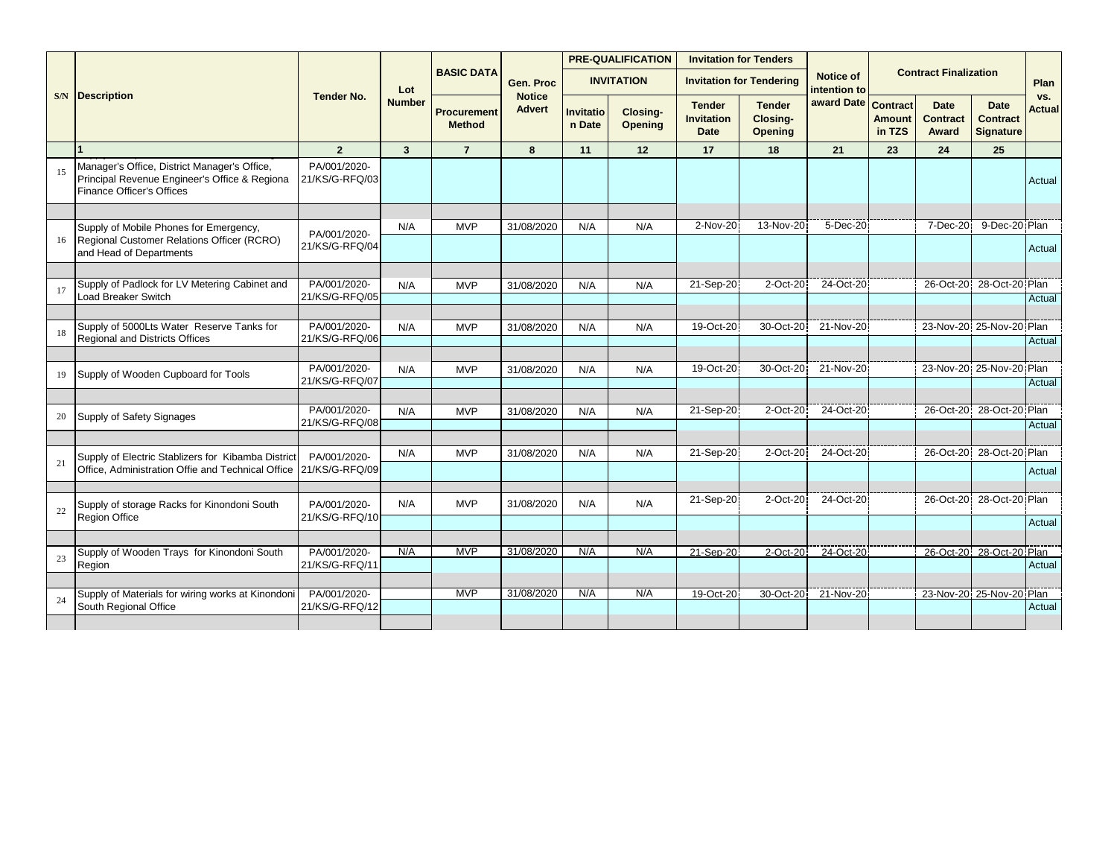|    |                                                                                                                                   |                                |                |                                     |                                |                     | <b>PRE-QUALIFICATION</b> | <b>Invitation for Tenders</b>                     |                                             |                                  |                         |                                         |                                                    |                      |
|----|-----------------------------------------------------------------------------------------------------------------------------------|--------------------------------|----------------|-------------------------------------|--------------------------------|---------------------|--------------------------|---------------------------------------------------|---------------------------------------------|----------------------------------|-------------------------|-----------------------------------------|----------------------------------------------------|----------------------|
|    |                                                                                                                                   |                                | Lot            | <b>BASIC DATA</b>                   | Gen. Proc                      |                     | <b>INVITATION</b>        |                                                   | <b>Invitation for Tendering</b>             | <b>Notice of</b><br>intention to |                         | <b>Contract Finalization</b>            |                                                    | Plan                 |
|    | <b>S/N</b> Description                                                                                                            | <b>Tender No.</b>              | <b>Number</b>  | <b>Procurement</b><br><b>Method</b> | <b>Notice</b><br><b>Advert</b> | Invitatio<br>n Date | Closing-<br>Opening      | <b>Tender</b><br><b>Invitation</b><br><b>Date</b> | <b>Tender</b><br>Closing-<br><b>Opening</b> | award Date Contract              | <b>Amount</b><br>in TZS | <b>Date</b><br><b>Contract</b><br>Award | <b>Date</b><br><b>Contract</b><br><b>Signature</b> | VS.<br><b>Actual</b> |
|    |                                                                                                                                   | $\overline{2}$                 | $\overline{3}$ | $\overline{7}$                      | 8                              | 11                  | 12                       | 17                                                | 18                                          | 21                               | 23                      | 24                                      | 25                                                 |                      |
|    | Manager's Office, District Manager's Office,<br>Principal Revenue Engineer's Office & Regiona<br><b>Finance Officer's Offices</b> | PA/001/2020-<br>21/KS/G-RFQ/03 |                |                                     |                                |                     |                          |                                                   |                                             |                                  |                         |                                         |                                                    | Actual               |
|    |                                                                                                                                   |                                |                |                                     |                                |                     |                          |                                                   |                                             |                                  |                         |                                         |                                                    |                      |
|    | Supply of Mobile Phones for Emergency,                                                                                            | PA/001/2020-                   | N/A            | <b>MVP</b>                          | 31/08/2020                     | N/A                 | N/A                      | 2-Nov-20                                          | 13-Nov-20                                   | 5-Dec-20                         |                         | 7-Dec-20                                | 9-Dec-20 Plan                                      |                      |
| 16 | Regional Customer Relations Officer (RCRO)<br>and Head of Departments                                                             | 21/KS/G-RFQ/04                 |                |                                     |                                |                     |                          |                                                   |                                             |                                  |                         |                                         |                                                    | Actual               |
|    |                                                                                                                                   |                                |                |                                     |                                |                     |                          |                                                   |                                             |                                  |                         |                                         |                                                    |                      |
|    | Supply of Padlock for LV Metering Cabinet and                                                                                     | PA/001/2020-                   | N/A            | <b>MVP</b>                          | 31/08/2020                     | N/A                 | N/A                      | 21-Sep-20                                         | 2-Oct-20                                    | 24-Oct-20                        |                         | 26-Oct-20                               | 28-Oct-20 Plan                                     |                      |
|    | Load Breaker Switch                                                                                                               | 21/KS/G-RFQ/05                 |                |                                     |                                |                     |                          |                                                   |                                             |                                  |                         |                                         |                                                    | Actual               |
|    | Supply of 5000Lts Water Reserve Tanks for                                                                                         | PA/001/2020-                   | N/A            | <b>MVP</b>                          | 31/08/2020                     | N/A                 | N/A                      | 19-Oct-20                                         | 30-Oct-20                                   | 21-Nov-20                        |                         |                                         | 23-Nov-20 25-Nov-20 Plan                           |                      |
|    | <b>Regional and Districts Offices</b>                                                                                             | 21/KS/G-RFQ/06                 |                |                                     |                                |                     |                          |                                                   |                                             |                                  |                         |                                         |                                                    | Actual               |
|    |                                                                                                                                   |                                |                |                                     |                                |                     |                          |                                                   |                                             |                                  |                         |                                         |                                                    |                      |
| 19 | Supply of Wooden Cupboard for Tools                                                                                               | PA/001/2020-                   | N/A            | <b>MVP</b>                          | 31/08/2020                     | N/A                 | N/A                      | 19-Oct-20                                         | 30-Oct-20                                   | 21-Nov-20                        |                         |                                         | 23-Nov-20 25-Nov-20 Plan                           |                      |
|    |                                                                                                                                   | 21/KS/G-RFQ/07                 |                |                                     |                                |                     |                          |                                                   |                                             |                                  |                         |                                         |                                                    | Actual               |
|    |                                                                                                                                   |                                |                |                                     |                                |                     |                          |                                                   |                                             |                                  |                         |                                         |                                                    |                      |
| 20 | Supply of Safety Signages                                                                                                         | PA/001/2020-<br>21/KS/G-RFQ/08 | N/A            | <b>MVP</b>                          | 31/08/2020                     | N/A                 | N/A                      | 21-Sep-20                                         | 2-Oct-20                                    | 24-Oct-20                        |                         | 26-Oct-20                               | 28-Oct-20 Plan                                     |                      |
|    |                                                                                                                                   |                                |                |                                     |                                |                     |                          |                                                   |                                             |                                  |                         |                                         |                                                    | Actual               |
|    | Supply of Electric Stablizers for Kibamba District                                                                                | PA/001/2020-                   | N/A            | <b>MVP</b>                          | 31/08/2020                     | N/A                 | N/A                      | 21-Sep-20                                         | 2-Oct-20                                    | 24-Oct-20                        |                         | 26-Oct-20                               | 28-Oct-20 Plan                                     |                      |
| 21 | Office. Administration Offie and Technical Office                                                                                 | 21/KS/G-RFQ/09                 |                |                                     |                                |                     |                          |                                                   |                                             |                                  |                         |                                         |                                                    | Actual               |
|    |                                                                                                                                   |                                |                |                                     |                                |                     |                          |                                                   |                                             |                                  |                         |                                         |                                                    |                      |
|    | Supply of storage Racks for Kinondoni South                                                                                       | PA/001/2020-                   | N/A            | <b>MVP</b>                          | 31/08/2020                     | N/A                 | N/A                      | 21-Sep-20                                         | 2-Oct-20                                    | 24-Oct-20                        |                         | 26-Oct-20                               | 28-Oct-20 Plan                                     |                      |
| 22 | Region Office                                                                                                                     | 21/KS/G-RFQ/10                 |                |                                     |                                |                     |                          |                                                   |                                             |                                  |                         |                                         |                                                    | Actual               |
|    |                                                                                                                                   |                                |                |                                     |                                |                     |                          |                                                   |                                             |                                  |                         |                                         |                                                    |                      |
| 23 | Supply of Wooden Trays for Kinondoni South                                                                                        | PA/001/2020-                   | N/A            | <b>MVP</b>                          | 31/08/2020                     | N/A                 | N/A                      | 21-Sep-20                                         | 2-Oct-20                                    | 24-Oct-20                        |                         |                                         | 26-Oct-20 28-Oct-20 Plan                           |                      |
|    | Region                                                                                                                            | 21/KS/G-RFQ/11                 |                |                                     |                                |                     |                          |                                                   |                                             |                                  |                         |                                         |                                                    | Actual               |
|    |                                                                                                                                   |                                |                |                                     |                                |                     |                          |                                                   |                                             |                                  |                         |                                         |                                                    |                      |
| 24 | Supply of Materials for wiring works at Kinondoni                                                                                 | PA/001/2020-                   |                | <b>MVP</b>                          | 31/08/2020                     | N/A                 | N/A                      | 19-Oct-20                                         | 30-Oct-20                                   | 21-Nov-20                        |                         |                                         | 23-Nov-20 25-Nov-20 Plan                           |                      |
|    | South Regional Office                                                                                                             | 21/KS/G-RFQ/12                 |                |                                     |                                |                     |                          |                                                   |                                             |                                  |                         |                                         |                                                    | Actual               |
|    |                                                                                                                                   |                                |                |                                     |                                |                     |                          |                                                   |                                             |                                  |                         |                                         |                                                    |                      |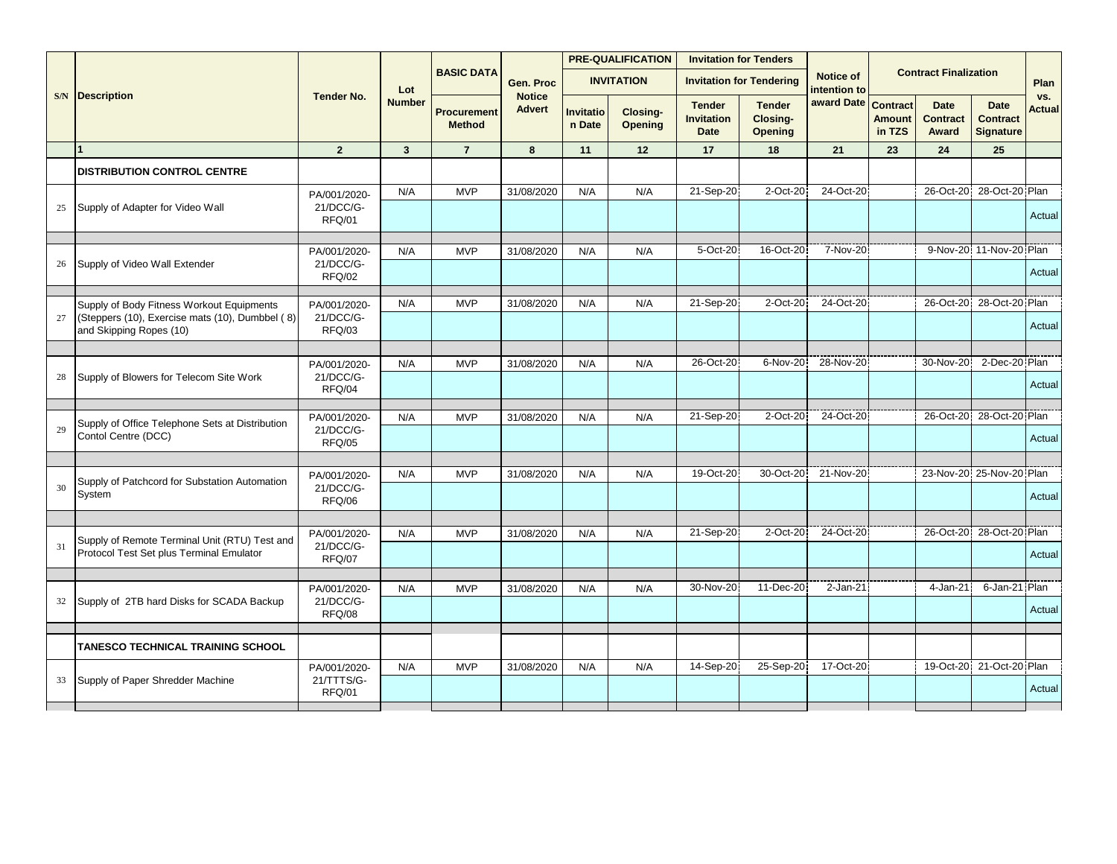|    |                                                                                              |                                            |               |                                     |                                |                            | <b>PRE-QUALIFICATION</b>   |                                                   | <b>Invitation for Tenders</b>        |                           |                                            |                                         |                                                    |               |
|----|----------------------------------------------------------------------------------------------|--------------------------------------------|---------------|-------------------------------------|--------------------------------|----------------------------|----------------------------|---------------------------------------------------|--------------------------------------|---------------------------|--------------------------------------------|-----------------------------------------|----------------------------------------------------|---------------|
|    |                                                                                              |                                            | Lot           | <b>BASIC DATA</b>                   | Gen. Proc                      |                            | <b>INVITATION</b>          |                                                   | <b>Invitation for Tendering</b>      | Notice of<br>intention to |                                            | <b>Contract Finalization</b>            |                                                    | Plan          |
|    | <b>S/N</b> Description                                                                       | <b>Tender No.</b>                          | <b>Number</b> | <b>Procurement</b><br><b>Method</b> | <b>Notice</b><br><b>Advert</b> | <b>Invitatio</b><br>n Date | Closing-<br><b>Opening</b> | <b>Tender</b><br><b>Invitation</b><br><b>Date</b> | <b>Tender</b><br>Closing-<br>Opening | award Date                | <b>Contract</b><br><b>Amount</b><br>in TZS | <b>Date</b><br><b>Contract</b><br>Award | <b>Date</b><br><b>Contract</b><br><b>Signature</b> | VS.<br>Actual |
|    |                                                                                              | $\overline{2}$                             | 3             | $\overline{7}$                      | 8                              | 11                         | 12                         | 17                                                | 18                                   | 21                        | 23                                         | 24                                      | 25                                                 |               |
|    | <b>DISTRIBUTION CONTROL CENTRE</b>                                                           |                                            |               |                                     |                                |                            |                            |                                                   |                                      |                           |                                            |                                         |                                                    |               |
|    |                                                                                              | PA/001/2020-                               | N/A           | <b>MVP</b>                          | 31/08/2020                     | N/A                        | N/A                        | 21-Sep-20                                         | 2-Oct-20                             | 24-Oct-20                 |                                            |                                         | 26-Oct-20 28-Oct-20 Plan                           |               |
| 25 | Supply of Adapter for Video Wall                                                             | 21/DCC/G-<br>RFQ/01                        |               |                                     |                                |                            |                            |                                                   |                                      |                           |                                            |                                         |                                                    | Actual        |
|    |                                                                                              |                                            | N/A           | <b>MVP</b>                          | 31/08/2020                     | N/A                        | N/A                        | 5-Oct-20                                          | 16-Oct-20                            | 7-Nov-20                  |                                            |                                         | 9-Nov-20 11-Nov-20 Plan                            |               |
| 26 | Supply of Video Wall Extender                                                                | PA/001/2020-<br>21/DCC/G-<br><b>RFQ/02</b> |               |                                     |                                |                            |                            |                                                   |                                      |                           |                                            |                                         |                                                    | Actual        |
|    |                                                                                              |                                            |               |                                     |                                |                            |                            |                                                   |                                      |                           |                                            |                                         |                                                    |               |
| 27 | Supply of Body Fitness Workout Equipments<br>(Steppers (10), Exercise mats (10), Dumbbel (8) | PA/001/2020-<br>21/DCC/G-                  | N/A           | <b>MVP</b>                          | 31/08/2020                     | N/A                        | N/A                        | 21-Sep-20                                         | 2-Oct-20                             | 24-Oct-20                 |                                            | 26-Oct-20                               | 28-Oct-20 Plan                                     |               |
|    | and Skipping Ropes (10)                                                                      | RFQ/03                                     |               |                                     |                                |                            |                            |                                                   |                                      |                           |                                            |                                         |                                                    | Actual        |
|    |                                                                                              |                                            |               |                                     |                                |                            |                            | 26-Oct-20                                         | 6-Nov-20                             | 28-Nov-20                 |                                            | 30-Nov-20                               | 2-Dec-20 Plan                                      |               |
| 28 | Supply of Blowers for Telecom Site Work                                                      | PA/001/2020-<br>21/DCC/G-<br>RFQ/04        | N/A           | <b>MVP</b>                          | 31/08/2020                     | N/A                        | N/A                        |                                                   |                                      |                           |                                            |                                         |                                                    | Actual        |
|    |                                                                                              |                                            |               |                                     |                                |                            |                            |                                                   |                                      |                           |                                            |                                         |                                                    |               |
|    | Supply of Office Telephone Sets at Distribution                                              | PA/001/2020-                               | N/A           | <b>MVP</b>                          | 31/08/2020                     | N/A                        | N/A                        | 21-Sep-20                                         | 2-Oct-20                             | 24-Oct-20                 |                                            | 26-Oct-20                               | 28-Oct-20 Plan                                     |               |
| 29 | Contol Centre (DCC)                                                                          | 21/DCC/G-<br><b>RFQ/05</b>                 |               |                                     |                                |                            |                            |                                                   |                                      |                           |                                            |                                         |                                                    | Actual        |
|    |                                                                                              |                                            |               |                                     |                                |                            |                            |                                                   |                                      |                           |                                            |                                         |                                                    |               |
| 30 | Supply of Patchcord for Substation Automation<br>System                                      | PA/001/2020-<br>21/DCC/G-<br><b>RFQ/06</b> | N/A           | <b>MVP</b>                          | 31/08/2020                     | N/A                        | N/A                        | 19-Oct-20                                         | 30-Oct-20                            | 21-Nov-20                 |                                            |                                         | 23-Nov-20 25-Nov-20 Plan                           | Actual        |
|    |                                                                                              |                                            |               |                                     |                                |                            |                            |                                                   |                                      |                           |                                            |                                         |                                                    |               |
|    | Supply of Remote Terminal Unit (RTU) Test and                                                | PA/001/2020-                               | N/A           | <b>MVP</b>                          | 31/08/2020                     | N/A                        | N/A                        | 21-Sep-20                                         | 2-Oct-20                             | 24-Oct-20                 |                                            | 26-Oct-20                               | 28-Oct-20 Plan                                     |               |
| 31 | Protocol Test Set plus Terminal Emulator                                                     | 21/DCC/G-<br>RFQ/07                        |               |                                     |                                |                            |                            |                                                   |                                      |                           |                                            |                                         |                                                    | Actual        |
|    |                                                                                              |                                            |               |                                     |                                |                            |                            | 30-Nov-20                                         | 11-Dec-20                            | $2-Jan-21$                |                                            | 4-Jan-21                                | 6-Jan-21 Plan                                      |               |
| 32 | Supply of 2TB hard Disks for SCADA Backup                                                    | PA/001/2020-<br>21/DCC/G-<br>RFQ/08        | N/A           | <b>MVP</b>                          | 31/08/2020                     | N/A                        | N/A                        |                                                   |                                      |                           |                                            |                                         |                                                    | Actual        |
|    |                                                                                              |                                            |               |                                     |                                |                            |                            |                                                   |                                      |                           |                                            |                                         |                                                    |               |
|    | TANESCO TECHNICAL TRAINING SCHOOL                                                            |                                            |               |                                     |                                |                            |                            |                                                   |                                      |                           |                                            |                                         |                                                    |               |
| 33 | Supply of Paper Shredder Machine                                                             | PA/001/2020-<br>21/TTTS/G-                 | N/A           | <b>MVP</b>                          | 31/08/2020                     | N/A                        | N/A                        | 14-Sep-20                                         | 25-Sep-20                            | 17-Oct-20                 |                                            |                                         | 19-Oct-20 21-Oct-20 Plan                           |               |
|    |                                                                                              | RFQ/01                                     |               |                                     |                                |                            |                            |                                                   |                                      |                           |                                            |                                         |                                                    | Actual        |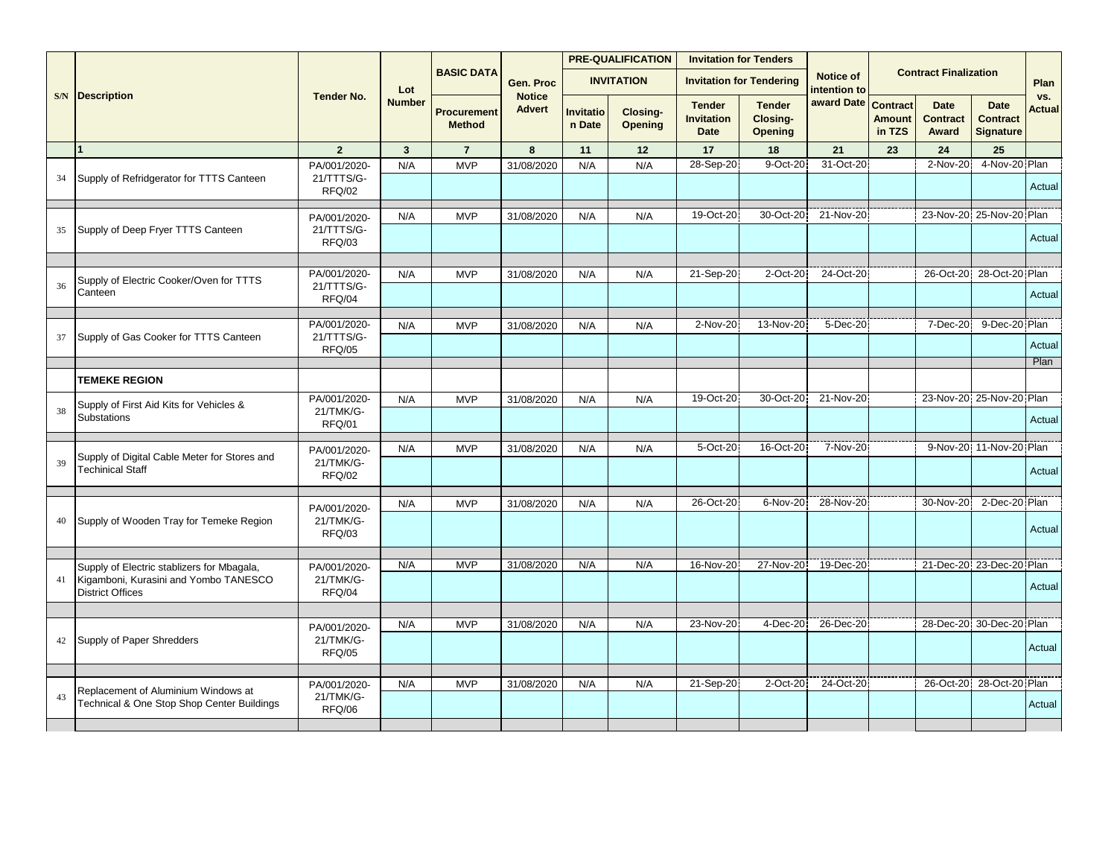|    |                                                                                                                |                                      |               |                                     |                                |                     | <b>PRE-QUALIFICATION</b> |                                                   | <b>Invitation for Tenders</b>        |                           |                                            |                                         |                                                    |                      |
|----|----------------------------------------------------------------------------------------------------------------|--------------------------------------|---------------|-------------------------------------|--------------------------------|---------------------|--------------------------|---------------------------------------------------|--------------------------------------|---------------------------|--------------------------------------------|-----------------------------------------|----------------------------------------------------|----------------------|
|    |                                                                                                                |                                      | Lot           | <b>BASIC DATA</b>                   | Gen. Proc                      |                     | <b>INVITATION</b>        |                                                   | <b>Invitation for Tendering</b>      | Notice of<br>intention to |                                            | <b>Contract Finalization</b>            |                                                    | Plan                 |
|    | <b>S/N</b> Description                                                                                         | <b>Tender No.</b>                    | <b>Number</b> | <b>Procurement</b><br><b>Method</b> | <b>Notice</b><br><b>Advert</b> | Invitatio<br>n Date | Closing-<br>Opening      | <b>Tender</b><br><b>Invitation</b><br><b>Date</b> | <b>Tender</b><br>Closing-<br>Opening | award Date                | <b>Contract</b><br><b>Amount</b><br>in TZS | <b>Date</b><br><b>Contract</b><br>Award | <b>Date</b><br><b>Contract</b><br><b>Signature</b> | VS.<br><b>Actual</b> |
|    |                                                                                                                | $\overline{2}$                       | $\mathbf{3}$  | $\overline{7}$                      | 8                              | 11                  | 12                       | 17                                                | 18                                   | 21                        | 23                                         | 24                                      | 25                                                 |                      |
| 34 | Supply of Refridgerator for TTTS Canteen                                                                       | PA/001/2020-<br>21/TTTS/G-<br>RFQ/02 | N/A           | <b>MVP</b>                          | 31/08/2020                     | N/A                 | N/A                      | 28-Sep-20                                         | 9-Oct-20                             | 31-Oct-20                 |                                            | $2-Nov-20$                              | 4-Nov-20 Plan                                      | Actual               |
|    |                                                                                                                | PA/001/2020-                         | N/A           | <b>MVP</b>                          | 31/08/2020                     | N/A                 | N/A                      | 19-Oct-20                                         | 30-Oct-20                            | 21-Nov-20                 |                                            |                                         | 23-Nov-20 25-Nov-20 Plan                           |                      |
| 35 | Supply of Deep Fryer TTTS Canteen                                                                              | 21/TTTS/G-<br><b>RFQ/03</b>          |               |                                     |                                |                     |                          |                                                   |                                      |                           |                                            |                                         |                                                    | Actual               |
|    |                                                                                                                | PA/001/2020-                         | N/A           | <b>MVP</b>                          |                                | N/A                 | N/A                      | 21-Sep-20                                         | 2-Oct-20                             | 24-Oct-20                 |                                            |                                         | 26-Oct-20 28-Oct-20 Plan                           |                      |
| 36 | Supply of Electric Cooker/Oven for TTTS<br>Canteen                                                             | 21/TTTS/G-<br>RFQ/04                 |               |                                     | 31/08/2020                     |                     |                          |                                                   |                                      |                           |                                            |                                         |                                                    | Actual               |
|    |                                                                                                                | PA/001/2020-                         | N/A           | <b>MVP</b>                          | 31/08/2020                     | N/A                 | N/A                      | 2-Nov-20                                          | 13-Nov-20                            | 5-Dec-20                  |                                            | 7-Dec-20                                | 9-Dec-20 Plan                                      |                      |
| 37 | Supply of Gas Cooker for TTTS Canteen                                                                          | 21/TTTS/G-                           |               |                                     |                                |                     |                          |                                                   |                                      |                           |                                            |                                         |                                                    | Actual               |
|    |                                                                                                                | <b>RFQ/05</b>                        |               |                                     |                                |                     |                          |                                                   |                                      |                           |                                            |                                         |                                                    | Plan                 |
|    | <b>TEMEKE REGION</b>                                                                                           |                                      |               |                                     |                                |                     |                          |                                                   |                                      |                           |                                            |                                         |                                                    |                      |
|    |                                                                                                                | PA/001/2020-                         | N/A           | <b>MVP</b>                          | 31/08/2020                     | N/A                 | N/A                      | 19-Oct-20                                         | 30-Oct-20                            | 21-Nov-20                 |                                            |                                         | 23-Nov-20 25-Nov-20 Plan                           |                      |
| 38 | Supply of First Aid Kits for Vehicles &<br><b>Substations</b>                                                  | 21/TMK/G-<br>RFQ/01                  |               |                                     |                                |                     |                          |                                                   |                                      |                           |                                            |                                         |                                                    | Actual               |
|    |                                                                                                                | PA/001/2020-                         | N/A           | <b>MVP</b>                          | 31/08/2020                     | N/A                 | N/A                      | 5-Oct-20                                          | 16-Oct-20                            | 7-Nov-20                  |                                            |                                         | 9-Nov-20 11-Nov-20 Plan                            |                      |
| 39 | Supply of Digital Cable Meter for Stores and<br><b>Techinical Staff</b>                                        | 21/TMK/G-<br>RFQ/02                  |               |                                     |                                |                     |                          |                                                   |                                      |                           |                                            |                                         |                                                    | Actual               |
|    |                                                                                                                |                                      | N/A           | <b>MVP</b>                          | 31/08/2020                     | N/A                 | N/A                      | 26-Oct-20                                         | 6-Nov-20                             | 28-Nov-20                 |                                            | 30-Nov-20                               | 2-Dec-20 Plan                                      |                      |
| 40 | Supply of Wooden Tray for Temeke Region                                                                        | PA/001/2020-<br>21/TMK/G-<br>RFQ/03  |               |                                     |                                |                     |                          |                                                   |                                      |                           |                                            |                                         |                                                    | Actual               |
|    |                                                                                                                |                                      |               |                                     |                                |                     |                          |                                                   |                                      |                           |                                            |                                         |                                                    |                      |
| 41 | Supply of Electric stablizers for Mbagala,<br>Kigamboni, Kurasini and Yombo TANESCO<br><b>District Offices</b> | PA/001/2020-<br>21/TMK/G-<br>RFQ/04  | N/A           | <b>MVP</b>                          | 31/08/2020                     | N/A                 | N/A                      | 16-Nov-20                                         | 27-Nov-20                            | 19-Dec-20                 |                                            |                                         | 21-Dec-20 23-Dec-20 Plan                           | Actual               |
|    |                                                                                                                |                                      |               |                                     |                                |                     |                          |                                                   |                                      |                           |                                            |                                         |                                                    |                      |
|    |                                                                                                                | PA/001/2020-                         | N/A           | <b>MVP</b>                          | 31/08/2020                     | N/A                 | N/A                      | 23-Nov-20                                         | 4-Dec-20                             | 26-Dec-20                 |                                            |                                         | 28-Dec-20 30-Dec-20 Plan                           |                      |
| 42 | Supply of Paper Shredders                                                                                      | 21/TMK/G-<br><b>RFQ/05</b>           |               |                                     |                                |                     |                          |                                                   |                                      |                           |                                            |                                         |                                                    | Actual               |
|    |                                                                                                                |                                      |               | <b>MVP</b>                          |                                |                     |                          |                                                   | 2-Oct-20                             | 24-Oct-20                 |                                            |                                         |                                                    |                      |
| 43 | Replacement of Aluminium Windows at<br>Technical & One Stop Shop Center Buildings                              | PA/001/2020-<br>21/TMK/G-            | N/A           |                                     | 31/08/2020                     | N/A                 | N/A                      | 21-Sep-20                                         |                                      |                           |                                            |                                         | 26-Oct-20 28-Oct-20 Plan                           |                      |
|    |                                                                                                                | RFQ/06                               |               |                                     |                                |                     |                          |                                                   |                                      |                           |                                            |                                         |                                                    | Actual               |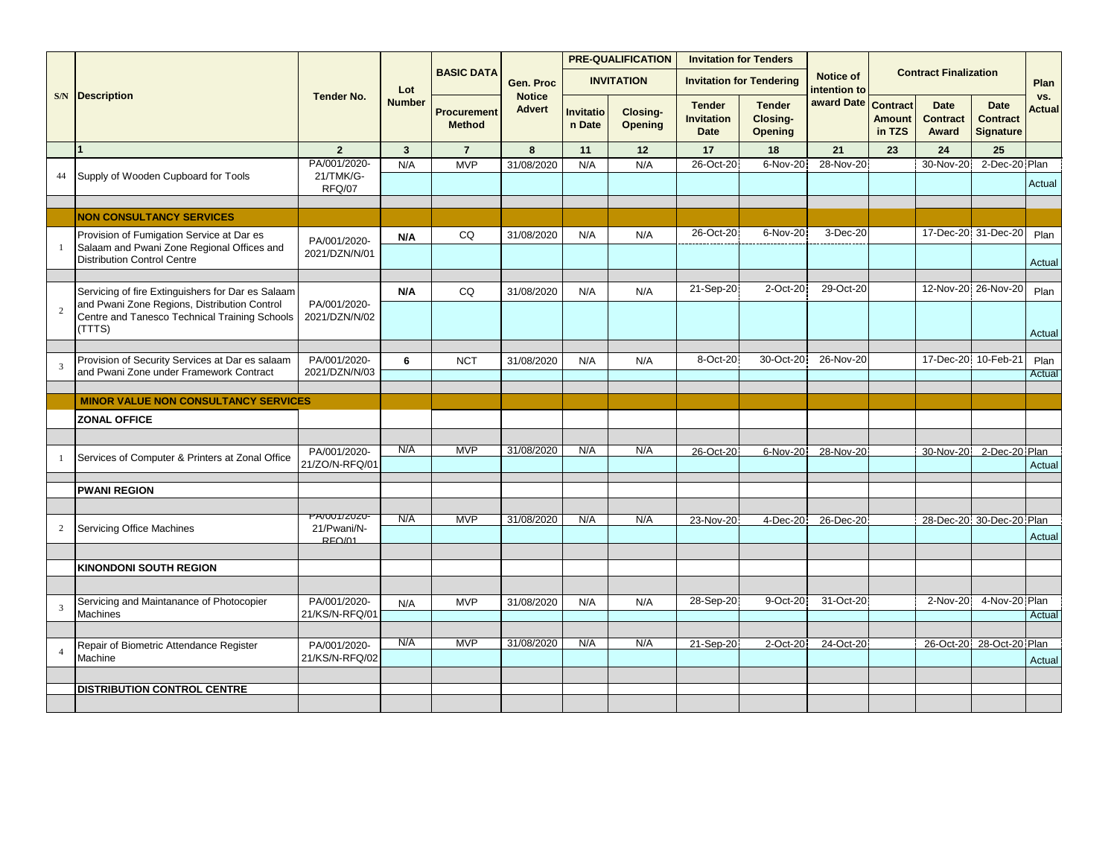|                |                                                                                                                               |                                     |               |                                     |                                |                     | <b>PRE-QUALIFICATION</b> |                                                   | <b>Invitation for Tenders</b>               |                           |                                            |                                         |                                                    |               |
|----------------|-------------------------------------------------------------------------------------------------------------------------------|-------------------------------------|---------------|-------------------------------------|--------------------------------|---------------------|--------------------------|---------------------------------------------------|---------------------------------------------|---------------------------|--------------------------------------------|-----------------------------------------|----------------------------------------------------|---------------|
|                |                                                                                                                               |                                     | Lot           | <b>BASIC DATA</b>                   | Gen. Proc                      |                     | <b>INVITATION</b>        |                                                   | <b>Invitation for Tendering</b>             | Notice of<br>intention to |                                            | <b>Contract Finalization</b>            |                                                    | Plan          |
|                | <b>S/N</b> Description                                                                                                        | <b>Tender No.</b>                   | <b>Number</b> | <b>Procurement</b><br><b>Method</b> | <b>Notice</b><br><b>Advert</b> | Invitatio<br>n Date | Closing-<br>Opening      | <b>Tender</b><br><b>Invitation</b><br><b>Date</b> | <b>Tender</b><br>Closing-<br><b>Opening</b> | award Date                | <b>Contract</b><br><b>Amount</b><br>in TZS | <b>Date</b><br><b>Contract</b><br>Award | <b>Date</b><br><b>Contract</b><br><b>Signature</b> | VS.<br>Actual |
|                |                                                                                                                               | $\overline{2}$                      | $\mathbf{3}$  | $\overline{7}$                      | 8                              | 11                  | 12                       | 17                                                | 18                                          | 21                        | 23                                         | 24                                      | 25                                                 |               |
| 44             | Supply of Wooden Cupboard for Tools                                                                                           | PA/001/2020-<br>21/TMK/G-<br>RFQ/07 | N/A           | <b>MVP</b>                          | 31/08/2020                     | N/A                 | N/A                      | 26-Oct-20                                         | 6-Nov-20                                    | 28-Nov-20                 |                                            | 30-Nov-20                               | 2-Dec-20 Plan                                      | Actual        |
|                |                                                                                                                               |                                     |               |                                     |                                |                     |                          |                                                   |                                             |                           |                                            |                                         |                                                    |               |
|                | <b>NON CONSULTANCY SERVICES</b>                                                                                               |                                     |               |                                     |                                |                     |                          |                                                   |                                             |                           |                                            |                                         |                                                    |               |
|                | Provision of Fumigation Service at Dar es<br>Salaam and Pwani Zone Regional Offices and<br><b>Distribution Control Centre</b> | PA/001/2020-<br>2021/DZN/N/01       | N/A           | CQ                                  | 31/08/2020                     | N/A                 | N/A                      | 26-Oct-20                                         | 6-Nov-20                                    | 3-Dec-20                  |                                            |                                         | 17-Dec-20 31-Dec-20                                | Plan          |
|                |                                                                                                                               |                                     |               |                                     |                                |                     |                          |                                                   |                                             |                           |                                            |                                         |                                                    | Actual        |
|                | Servicing of fire Extinguishers for Dar es Salaam<br>and Pwani Zone Regions, Distribution Control                             | PA/001/2020-                        | N/A           | CQ                                  | 31/08/2020                     | N/A                 | N/A                      | 21-Sep-20                                         | 2-Oct-20                                    | 29-Oct-20                 |                                            |                                         | 12-Nov-20 26-Nov-20                                | Plan          |
|                | Centre and Tanesco Technical Training Schools<br>(TTTS)                                                                       | 2021/DZN/N/02                       |               |                                     |                                |                     |                          |                                                   |                                             |                           |                                            |                                         |                                                    | Actual        |
|                | Provision of Security Services at Dar es salaam                                                                               | PA/001/2020-                        | 6             | <b>NCT</b>                          | 31/08/2020                     | N/A                 | N/A                      | 8-Oct-20                                          | 30-Oct-20                                   | 26-Nov-20                 |                                            |                                         | 17-Dec-20 10-Feb-21                                | Plan          |
|                | and Pwani Zone under Framework Contract                                                                                       | 2021/DZN/N/03                       |               |                                     |                                |                     |                          |                                                   |                                             |                           |                                            |                                         |                                                    | Actual        |
|                |                                                                                                                               |                                     |               |                                     |                                |                     |                          |                                                   |                                             |                           |                                            |                                         |                                                    |               |
|                | <b>MINOR VALUE NON CONSULTANCY SERVICES</b>                                                                                   |                                     |               |                                     |                                |                     |                          |                                                   |                                             |                           |                                            |                                         |                                                    |               |
|                | <b>ZONAL OFFICE</b>                                                                                                           |                                     |               |                                     |                                |                     |                          |                                                   |                                             |                           |                                            |                                         |                                                    |               |
|                |                                                                                                                               |                                     |               |                                     |                                |                     |                          |                                                   |                                             |                           |                                            |                                         |                                                    |               |
|                | Services of Computer & Printers at Zonal Office                                                                               | PA/001/2020-<br>21/ZO/N-RFQ/01      | N/A           | <b>MVP</b>                          | 31/08/2020                     | N/A                 | N/A                      | 26-Oct-20                                         | 6-Nov-20                                    | 28-Nov-20                 |                                            |                                         | 30-Nov-20 2-Dec-20 Plan                            | Actual        |
|                | <b>PWANI REGION</b>                                                                                                           |                                     |               |                                     |                                |                     |                          |                                                   |                                             |                           |                                            |                                         |                                                    |               |
|                |                                                                                                                               |                                     |               |                                     |                                |                     |                          |                                                   |                                             |                           |                                            |                                         |                                                    |               |
|                |                                                                                                                               | PA/UUT/ZUZU-                        | N/A           | <b>MVP</b>                          | 31/08/2020                     | N/A                 | N/A                      | 23-Nov-20                                         | 4-Dec-20                                    | 26-Dec-20                 |                                            |                                         | 28-Dec-20 30-Dec-20 Plan                           |               |
| $\overline{c}$ | <b>Servicing Office Machines</b>                                                                                              | 21/Pwani/N-<br>RFO/01               |               |                                     |                                |                     |                          |                                                   |                                             |                           |                                            |                                         |                                                    | Actual        |
|                |                                                                                                                               |                                     |               |                                     |                                |                     |                          |                                                   |                                             |                           |                                            |                                         |                                                    |               |
|                | <b>KINONDONI SOUTH REGION</b>                                                                                                 |                                     |               |                                     |                                |                     |                          |                                                   |                                             |                           |                                            |                                         |                                                    |               |
|                |                                                                                                                               |                                     |               |                                     |                                |                     |                          |                                                   |                                             |                           |                                            |                                         |                                                    |               |
|                | Servicing and Maintanance of Photocopier                                                                                      | PA/001/2020-                        | N/A           | <b>MVP</b>                          | 31/08/2020                     | N/A                 | N/A                      | 28-Sep-20                                         | 9-Oct-20                                    | 31-Oct-20                 |                                            | 2-Nov-20                                | 4-Nov-20 Plan                                      |               |
|                | Machines                                                                                                                      | 21/KS/N-RFQ/01                      |               |                                     |                                |                     |                          |                                                   |                                             |                           |                                            |                                         |                                                    | Actual        |
|                |                                                                                                                               |                                     | N/A           | <b>MVP</b>                          | 31/08/2020                     | N/A                 | N/A                      |                                                   |                                             | 24-Oct-20                 |                                            |                                         | 26-Oct-20 28-Oct-20 Plan                           |               |
|                | Repair of Biometric Attendance Register<br>Machine                                                                            | PA/001/2020-<br>21/KS/N-RFQ/02      |               |                                     |                                |                     |                          | 21-Sep-20                                         | 2-Oct-20                                    |                           |                                            |                                         |                                                    |               |
|                |                                                                                                                               |                                     |               |                                     |                                |                     |                          |                                                   |                                             |                           |                                            |                                         |                                                    | Actual        |
|                | <b>DISTRIBUTION CONTROL CENTRE</b>                                                                                            |                                     |               |                                     |                                |                     |                          |                                                   |                                             |                           |                                            |                                         |                                                    |               |
|                |                                                                                                                               |                                     |               |                                     |                                |                     |                          |                                                   |                                             |                           |                                            |                                         |                                                    |               |